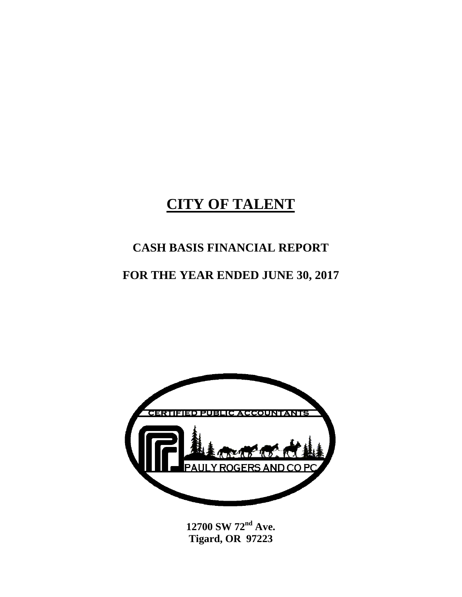# **CITY OF TALENT**

# **CASH BASIS FINANCIAL REPORT**

**FOR THE YEAR ENDED JUNE 30, 2017** 



**12700 SW 72nd Ave. Tigard, OR 97223**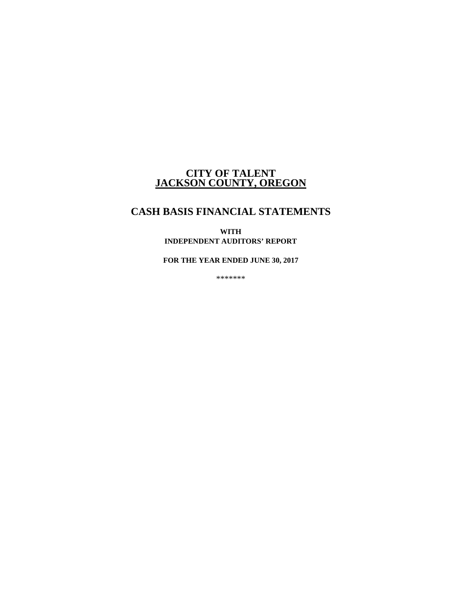# **CASH BASIS FINANCIAL STATEMENTS**

**WITH INDEPENDENT AUDITORS' REPORT** 

**FOR THE YEAR ENDED JUNE 30, 2017** 

\*\*\*\*\*\*\*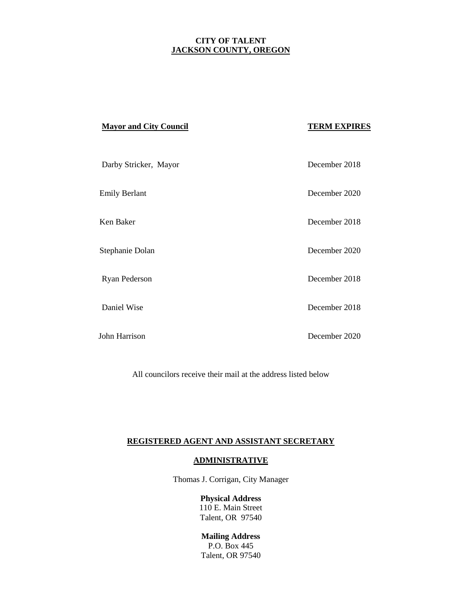#### **Mayor and City Council TERM EXPIRES**

| Darby Stricker, Mayor | December 2018 |
|-----------------------|---------------|
| <b>Emily Berlant</b>  | December 2020 |
| Ken Baker             | December 2018 |
| Stephanie Dolan       | December 2020 |
| Ryan Pederson         | December 2018 |
| Daniel Wise           | December 2018 |
| John Harrison         | December 2020 |

All councilors receive their mail at the address listed below

#### **REGISTERED AGENT AND ASSISTANT SECRETARY**

#### **ADMINISTRATIVE**

Thomas J. Corrigan, City Manager

# **Physical Address**

110 E. Main Street Talent, OR 97540

# **Mailing Address**

P.O. Box 445 Talent, OR 97540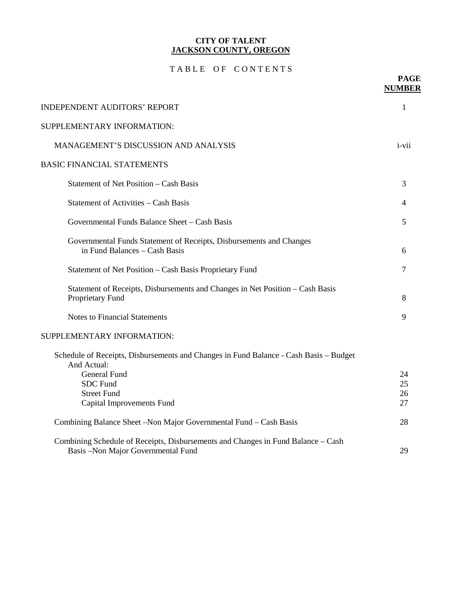# TABLE OF CONTENTS

|                                                                                                      | <b>PAGE</b><br><b>NUMBER</b> |
|------------------------------------------------------------------------------------------------------|------------------------------|
| <b>INDEPENDENT AUDITORS' REPORT</b>                                                                  | 1                            |
| SUPPLEMENTARY INFORMATION:                                                                           |                              |
| MANAGEMENT'S DISCUSSION AND ANALYSIS                                                                 | $i$ -vii                     |
| <b>BASIC FINANCIAL STATEMENTS</b>                                                                    |                              |
| Statement of Net Position - Cash Basis                                                               | 3                            |
| <b>Statement of Activities – Cash Basis</b>                                                          | 4                            |
| Governmental Funds Balance Sheet – Cash Basis                                                        | 5                            |
| Governmental Funds Statement of Receipts, Disbursements and Changes<br>in Fund Balances - Cash Basis | 6                            |
| Statement of Net Position - Cash Basis Proprietary Fund                                              | 7                            |
| Statement of Receipts, Disbursements and Changes in Net Position - Cash Basis<br>Proprietary Fund    | 8                            |
| <b>Notes to Financial Statements</b>                                                                 | 9                            |
| SUPPLEMENTARY INFORMATION:                                                                           |                              |
| Schedule of Receipts, Disbursements and Changes in Fund Balance - Cash Basis - Budget<br>And Actual: |                              |
| General Fund                                                                                         | 24                           |
| <b>SDC</b> Fund                                                                                      | 25                           |
| <b>Street Fund</b>                                                                                   | 26                           |
| Capital Improvements Fund                                                                            | 27                           |
| Combining Balance Sheet -Non Major Governmental Fund - Cash Basis                                    | 28                           |
| Combining Schedule of Receipts, Disbursements and Changes in Fund Balance - Cash                     |                              |
| Basis -Non Major Governmental Fund                                                                   | 29                           |
|                                                                                                      |                              |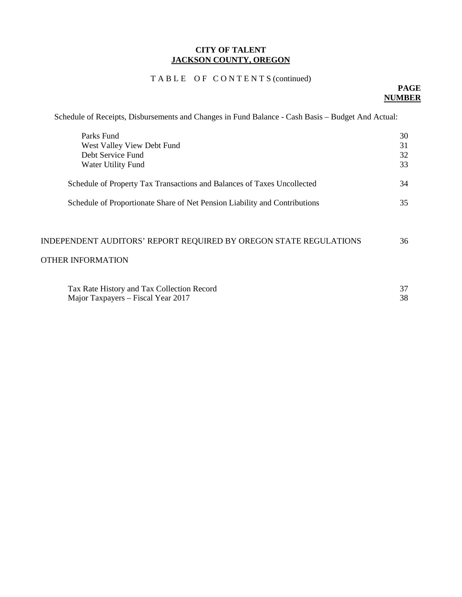# TABLE OF CONTENTS (continued)

## **PAGE NUMBER**

Schedule of Receipts, Disbursements and Changes in Fund Balance - Cash Basis – Budget And Actual:

| Parks Fund<br>West Valley View Debt Fund<br>Debt Service Fund<br>Water Utility Fund | 30<br>31<br>32<br>33 |
|-------------------------------------------------------------------------------------|----------------------|
| Schedule of Property Tax Transactions and Balances of Taxes Uncollected             | 34                   |
| Schedule of Proportionate Share of Net Pension Liability and Contributions          | 35                   |
|                                                                                     |                      |
| INDEPENDENT AUDITORS' REPORT REQUIRED BY OREGON STATE REGULATIONS                   | 36                   |
| <b>OTHER INFORMATION</b>                                                            |                      |
|                                                                                     |                      |
| Tax Rate History and Tax Collection Record<br>Major Taxpayers – Fiscal Year 2017    | 37<br>38             |
|                                                                                     |                      |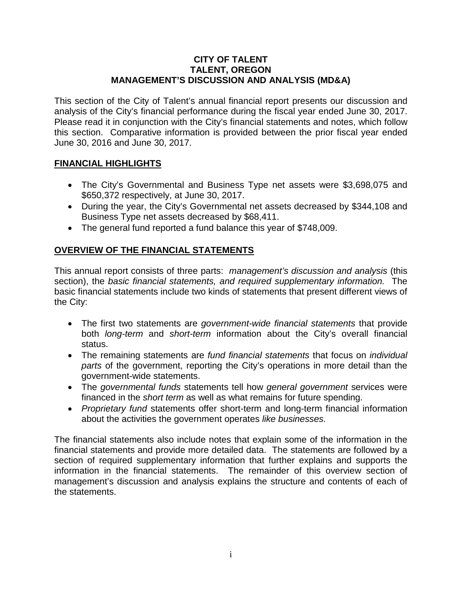# **CITY OF TALENT TALENT, OREGON MANAGEMENT'S DISCUSSION AND ANALYSIS (MD&A)**

This section of the City of Talent's annual financial report presents our discussion and analysis of the City's financial performance during the fiscal year ended June 30, 2017. Please read it in conjunction with the City's financial statements and notes, which follow this section. Comparative information is provided between the prior fiscal year ended June 30, 2016 and June 30, 2017.

# **FINANCIAL HIGHLIGHTS**

- The City's Governmental and Business Type net assets were \$3,698,075 and \$650,372 respectively, at June 30, 2017.
- During the year, the City's Governmental net assets decreased by \$344,108 and Business Type net assets decreased by \$68,411.
- The general fund reported a fund balance this year of \$748,009.

# **OVERVIEW OF THE FINANCIAL STATEMENTS**

This annual report consists of three parts: *management's discussion and analysis* (this section), the *basic financial statements, and required supplementary information.* The basic financial statements include two kinds of statements that present different views of the City:

- The first two statements are *government-wide financial statements* that provide both *long-term* and *short-term* information about the City's overall financial status.
- The remaining statements are *fund financial statements* that focus on *individual parts* of the government, reporting the City's operations in more detail than the government-wide statements.
- The *governmental funds* statements tell how *general government* services were financed in the *short term* as well as what remains for future spending.
- *Proprietary fund* statements offer short-term and long-term financial information about the activities the government operates *like businesses.*

The financial statements also include notes that explain some of the information in the financial statements and provide more detailed data. The statements are followed by a section of required supplementary information that further explains and supports the information in the financial statements. The remainder of this overview section of management's discussion and analysis explains the structure and contents of each of the statements.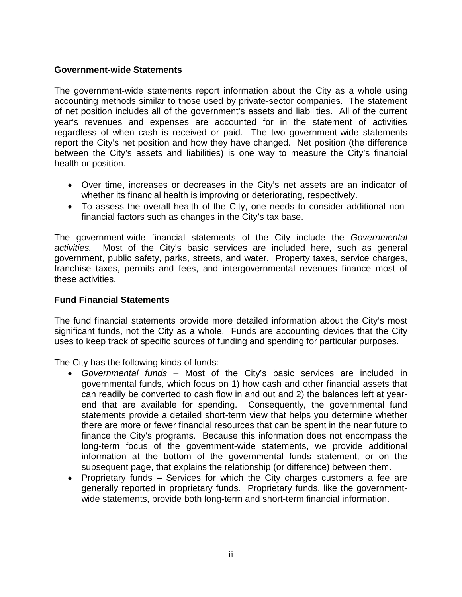# **Government-wide Statements**

The government-wide statements report information about the City as a whole using accounting methods similar to those used by private-sector companies. The statement of net position includes all of the government's assets and liabilities. All of the current year's revenues and expenses are accounted for in the statement of activities regardless of when cash is received or paid. The two government-wide statements report the City's net position and how they have changed. Net position (the difference between the City's assets and liabilities) is one way to measure the City's financial health or position.

- Over time, increases or decreases in the City's net assets are an indicator of whether its financial health is improving or deteriorating, respectively.
- To assess the overall health of the City, one needs to consider additional nonfinancial factors such as changes in the City's tax base.

The government-wide financial statements of the City include the *Governmental activities.* Most of the City's basic services are included here, such as general government, public safety, parks, streets, and water. Property taxes, service charges, franchise taxes, permits and fees, and intergovernmental revenues finance most of these activities.

# **Fund Financial Statements**

The fund financial statements provide more detailed information about the City's most significant funds, not the City as a whole. Funds are accounting devices that the City uses to keep track of specific sources of funding and spending for particular purposes.

The City has the following kinds of funds:

- *Governmental funds* Most of the City's basic services are included in governmental funds, which focus on 1) how cash and other financial assets that can readily be converted to cash flow in and out and 2) the balances left at yearend that are available for spending. Consequently, the governmental fund statements provide a detailed short-term view that helps you determine whether there are more or fewer financial resources that can be spent in the near future to finance the City's programs. Because this information does not encompass the long-term focus of the government-wide statements, we provide additional information at the bottom of the governmental funds statement, or on the subsequent page, that explains the relationship (or difference) between them.
- Proprietary funds Services for which the City charges customers a fee are generally reported in proprietary funds. Proprietary funds, like the governmentwide statements, provide both long-term and short-term financial information.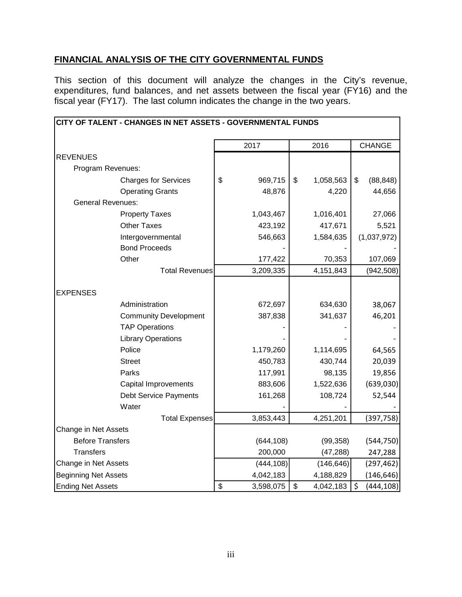# **FINANCIAL ANALYSIS OF THE CITY GOVERNMENTAL FUNDS**

This section of this document will analyze the changes in the City's revenue, expenditures, fund balances, and net assets between the fiscal year (FY16) and the fiscal year (FY17). The last column indicates the change in the two years.

| CITY OF TALENT - CHANGES IN NET ASSETS - GOVERNMENTAL FUNDS |                 |                 |                       |  |  |  |
|-------------------------------------------------------------|-----------------|-----------------|-----------------------|--|--|--|
|                                                             | 2017            | 2016            | <b>CHANGE</b>         |  |  |  |
| <b>REVENUES</b>                                             |                 |                 |                       |  |  |  |
| Program Revenues:                                           |                 |                 |                       |  |  |  |
| <b>Charges for Services</b>                                 | \$<br>969,715   | \$<br>1,058,563 | \$<br>(88, 848)       |  |  |  |
| <b>Operating Grants</b>                                     | 48,876          | 4,220           | 44,656                |  |  |  |
| <b>General Revenues:</b>                                    |                 |                 |                       |  |  |  |
| <b>Property Taxes</b>                                       | 1,043,467       | 1,016,401       | 27,066                |  |  |  |
| <b>Other Taxes</b>                                          | 423,192         | 417,671         | 5,521                 |  |  |  |
| Intergovernmental                                           | 546,663         | 1,584,635       | (1,037,972)           |  |  |  |
| <b>Bond Proceeds</b>                                        |                 |                 |                       |  |  |  |
| Other                                                       | 177,422         | 70,353          | 107,069               |  |  |  |
| <b>Total Revenues</b>                                       | 3,209,335       | 4,151,843       | (942, 508)            |  |  |  |
|                                                             |                 |                 |                       |  |  |  |
| <b>EXPENSES</b>                                             |                 |                 |                       |  |  |  |
| Administration                                              | 672,697         | 634,630         | 38,067                |  |  |  |
| <b>Community Development</b>                                | 387,838         | 341,637         | 46,201                |  |  |  |
| <b>TAP Operations</b>                                       |                 |                 |                       |  |  |  |
| <b>Library Operations</b>                                   |                 |                 |                       |  |  |  |
| Police                                                      | 1,179,260       | 1,114,695       | 64,565                |  |  |  |
| <b>Street</b>                                               | 450,783         | 430,744         | 20,039                |  |  |  |
| Parks                                                       | 117,991         | 98,135          | 19,856                |  |  |  |
| <b>Capital Improvements</b>                                 | 883,606         | 1,522,636       | (639, 030)            |  |  |  |
| <b>Debt Service Payments</b>                                | 161,268         | 108,724         | 52,544                |  |  |  |
| Water                                                       |                 |                 |                       |  |  |  |
| <b>Total Expenses</b>                                       | 3,853,443       | 4,251,201       | (397, 758)            |  |  |  |
| Change in Net Assets                                        |                 |                 |                       |  |  |  |
| <b>Before Transfers</b>                                     | (644, 108)      | (99, 358)       | (544, 750)            |  |  |  |
| <b>Transfers</b>                                            | 200,000         | (47, 288)       | 247,288               |  |  |  |
| Change in Net Assets                                        | (444, 108)      | (146, 646)      | (297, 462)            |  |  |  |
| <b>Beginning Net Assets</b>                                 | 4,042,183       | 4,188,829       | (146, 646)            |  |  |  |
| <b>Ending Net Assets</b>                                    | \$<br>3,598,075 | \$<br>4,042,183 | $\zeta$<br>(444, 108) |  |  |  |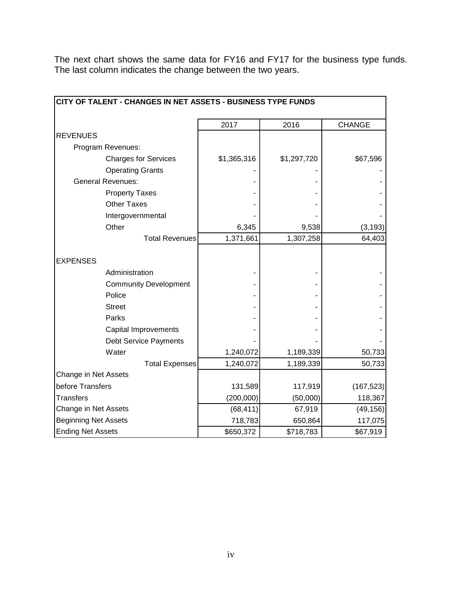The next chart shows the same data for FY16 and FY17 for the business type funds. The last column indicates the change between the two years.

| CITY OF TALENT - CHANGES IN NET ASSETS - BUSINESS TYPE FUNDS |             |             |               |  |  |  |  |
|--------------------------------------------------------------|-------------|-------------|---------------|--|--|--|--|
|                                                              | 2017        | 2016        | <b>CHANGE</b> |  |  |  |  |
| <b>REVENUES</b>                                              |             |             |               |  |  |  |  |
| Program Revenues:                                            |             |             |               |  |  |  |  |
| <b>Charges for Services</b>                                  | \$1,365,316 | \$1,297,720 | \$67,596      |  |  |  |  |
| <b>Operating Grants</b>                                      |             |             |               |  |  |  |  |
| <b>General Revenues:</b>                                     |             |             |               |  |  |  |  |
| <b>Property Taxes</b>                                        |             |             |               |  |  |  |  |
| <b>Other Taxes</b>                                           |             |             |               |  |  |  |  |
| Intergovernmental                                            |             |             |               |  |  |  |  |
| Other                                                        | 6,345       | 9,538       | (3, 193)      |  |  |  |  |
| <b>Total Revenues</b>                                        | 1,371,661   | 1,307,258   | 64,403        |  |  |  |  |
| <b>EXPENSES</b>                                              |             |             |               |  |  |  |  |
| Administration                                               |             |             |               |  |  |  |  |
| <b>Community Development</b>                                 |             |             |               |  |  |  |  |
| Police                                                       |             |             |               |  |  |  |  |
| <b>Street</b>                                                |             |             |               |  |  |  |  |
| Parks                                                        |             |             |               |  |  |  |  |
| Capital Improvements                                         |             |             |               |  |  |  |  |
| <b>Debt Service Payments</b>                                 |             |             |               |  |  |  |  |
| Water                                                        | 1,240,072   | 1,189,339   | 50,733        |  |  |  |  |
| <b>Total Expenses</b>                                        | 1,240,072   | 1,189,339   | 50,733        |  |  |  |  |
| Change in Net Assets                                         |             |             |               |  |  |  |  |
| before Transfers                                             | 131,589     | 117,919     | (167, 523)    |  |  |  |  |
| <b>Transfers</b>                                             | (200,000)   | (50,000)    | 118,367       |  |  |  |  |
| Change in Net Assets                                         | (68, 411)   | 67,919      | (49, 156)     |  |  |  |  |
| <b>Beginning Net Assets</b>                                  | 718,783     | 650,864     | 117,075       |  |  |  |  |
| <b>Ending Net Assets</b>                                     | \$650,372   | \$718,783   | \$67,919      |  |  |  |  |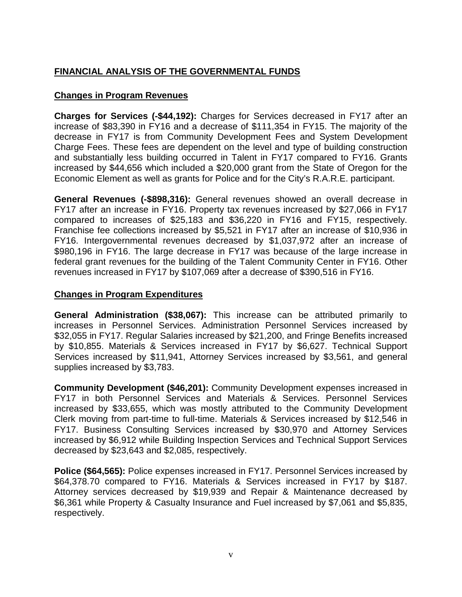# **FINANCIAL ANALYSIS OF THE GOVERNMENTAL FUNDS**

# **Changes in Program Revenues**

**Charges for Services (-\$44,192):** Charges for Services decreased in FY17 after an increase of \$83,390 in FY16 and a decrease of \$111,354 in FY15. The majority of the decrease in FY17 is from Community Development Fees and System Development Charge Fees. These fees are dependent on the level and type of building construction and substantially less building occurred in Talent in FY17 compared to FY16. Grants increased by \$44,656 which included a \$20,000 grant from the State of Oregon for the Economic Element as well as grants for Police and for the City's R.A.R.E. participant.

**General Revenues (-\$898,316):** General revenues showed an overall decrease in FY17 after an increase in FY16. Property tax revenues increased by \$27,066 in FY17 compared to increases of \$25,183 and \$36,220 in FY16 and FY15, respectively. Franchise fee collections increased by \$5,521 in FY17 after an increase of \$10,936 in FY16. Intergovernmental revenues decreased by \$1,037,972 after an increase of \$980,196 in FY16. The large decrease in FY17 was because of the large increase in federal grant revenues for the building of the Talent Community Center in FY16. Other revenues increased in FY17 by \$107,069 after a decrease of \$390,516 in FY16.

# **Changes in Program Expenditures**

**General Administration (\$38,067):** This increase can be attributed primarily to increases in Personnel Services. Administration Personnel Services increased by \$32,055 in FY17. Regular Salaries increased by \$21,200, and Fringe Benefits increased by \$10,855. Materials & Services increased in FY17 by \$6,627. Technical Support Services increased by \$11,941, Attorney Services increased by \$3,561, and general supplies increased by \$3,783.

**Community Development (\$46,201):** Community Development expenses increased in FY17 in both Personnel Services and Materials & Services. Personnel Services increased by \$33,655, which was mostly attributed to the Community Development Clerk moving from part-time to full-time. Materials & Services increased by \$12,546 in FY17. Business Consulting Services increased by \$30,970 and Attorney Services increased by \$6,912 while Building Inspection Services and Technical Support Services decreased by \$23,643 and \$2,085, respectively.

**Police (\$64,565):** Police expenses increased in FY17. Personnel Services increased by \$64,378.70 compared to FY16. Materials & Services increased in FY17 by \$187. Attorney services decreased by \$19,939 and Repair & Maintenance decreased by \$6,361 while Property & Casualty Insurance and Fuel increased by \$7,061 and \$5,835, respectively.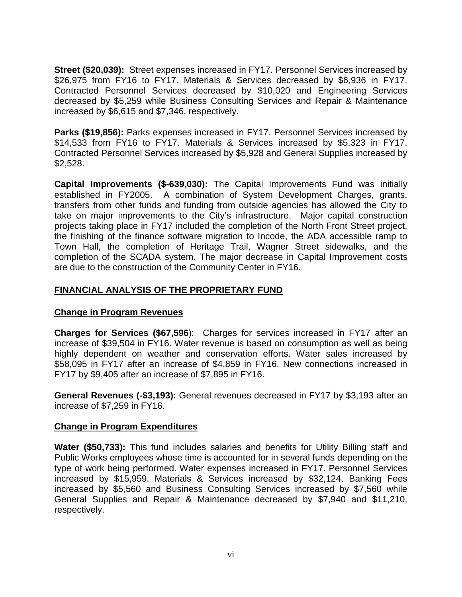**Street (\$20,039):** Street expenses increased in FY17. Personnel Services increased by \$26,975 from FY16 to FY17. Materials & Services decreased by \$6,936 in FY17. Contracted Personnel Services decreased by \$10,020 and Engineering Services decreased by \$5,259 while Business Consulting Services and Repair & Maintenance increased by \$6,615 and \$7,346, respectively.

**Parks (\$19,856):** Parks expenses increased in FY17. Personnel Services increased by \$14,533 from FY16 to FY17. Materials & Services increased by \$5,323 in FY17. Contracted Personnel Services increased by \$5,928 and General Supplies increased by \$2,528.

**Capital Improvements (\$-639,030):** The Capital Improvements Fund was initially established in FY2005. A combination of System Development Charges, grants, transfers from other funds and funding from outside agencies has allowed the City to take on major improvements to the City's infrastructure. Major capital construction projects taking place in FY17 included the completion of the North Front Street project, the finishing of the finance software migration to Incode, the ADA accessible ramp to Town Hall, the completion of Heritage Trail, Wagner Street sidewalks, and the completion of the SCADA system. The major decrease in Capital Improvement costs are due to the construction of the Community Center in FY16.

# **FINANCIAL ANALYSIS OF THE PROPRIETARY FUND**

# **Change in Program Revenues**

**Charges for Services (\$67,596**): Charges for services increased in FY17 after an increase of \$39,504 in FY16. Water revenue is based on consumption as well as being highly dependent on weather and conservation efforts. Water sales increased by \$58,095 in FY17 after an increase of \$4,859 in FY16. New connections increased in FY17 by \$9,405 after an increase of \$7,895 in FY16.

**General Revenues (-\$3,193):** General revenues decreased in FY17 by \$3,193 after an increase of \$7,259 in FY16.

# **Change in Program Expenditures**

**Water (\$50,733):** This fund includes salaries and benefits for Utility Billing staff and Public Works employees whose time is accounted for in several funds depending on the type of work being performed. Water expenses increased in FY17. Personnel Services increased by \$15,959. Materials & Services increased by \$32,124. Banking Fees increased by \$5,560 and Business Consulting Services increased by \$7,560 while General Supplies and Repair & Maintenance decreased by \$7,940 and \$11,210, respectively.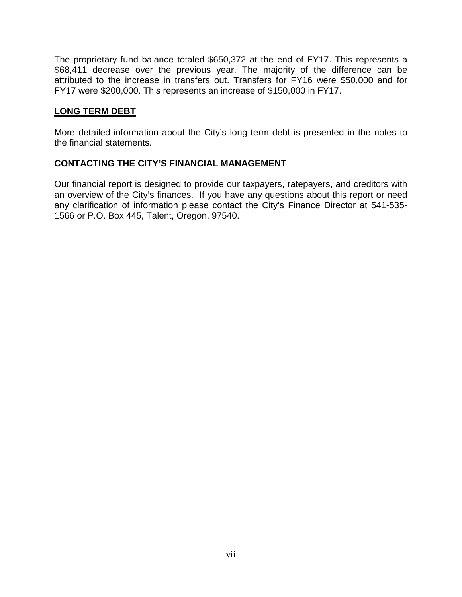The proprietary fund balance totaled \$650,372 at the end of FY17. This represents a \$68,411 decrease over the previous year. The majority of the difference can be attributed to the increase in transfers out. Transfers for FY16 were \$50,000 and for FY17 were \$200,000. This represents an increase of \$150,000 in FY17.

# **LONG TERM DEBT**

More detailed information about the City's long term debt is presented in the notes to the financial statements.

# **CONTACTING THE CITY'S FINANCIAL MANAGEMENT**

Our financial report is designed to provide our taxpayers, ratepayers, and creditors with an overview of the City's finances. If you have any questions about this report or need any clarification of information please contact the City's Finance Director at 541-535- 1566 or P.O. Box 445, Talent, Oregon, 97540.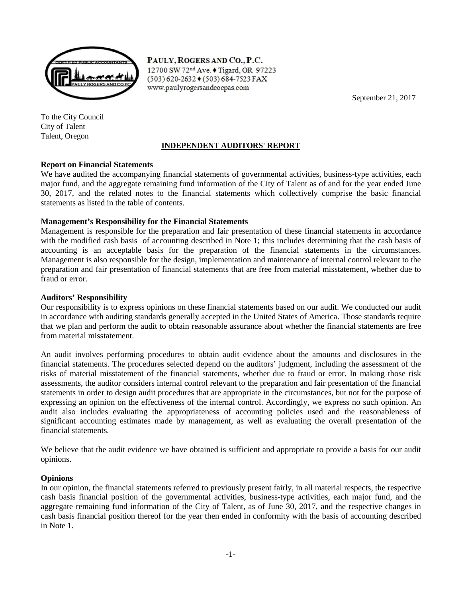

To the City Council City of Talent Talent, Oregon

PAULY, ROGERS AND CO., P.C. 12700 SW 72<sup>nd</sup> Ave. • Tigard, OR 97223 (503) 620-2632 ♦ (503) 684-7523 FAX www.paulyrogersandcocpas.com

September 21, 2017

# **INDEPENDENT AUDITORS' REPORT**

#### **Report on Financial Statements**

We have audited the accompanying financial statements of governmental activities, business-type activities, each major fund, and the aggregate remaining fund information of the City of Talent as of and for the year ended June 30, 2017, and the related notes to the financial statements which collectively comprise the basic financial statements as listed in the table of contents.

#### **Management's Responsibility for the Financial Statements**

Management is responsible for the preparation and fair presentation of these financial statements in accordance with the modified cash basis of accounting described in Note 1; this includes determining that the cash basis of accounting is an acceptable basis for the preparation of the financial statements in the circumstances. Management is also responsible for the design, implementation and maintenance of internal control relevant to the preparation and fair presentation of financial statements that are free from material misstatement, whether due to fraud or error.

#### **Auditors' Responsibility**

Our responsibility is to express opinions on these financial statements based on our audit. We conducted our audit in accordance with auditing standards generally accepted in the United States of America. Those standards require that we plan and perform the audit to obtain reasonable assurance about whether the financial statements are free from material misstatement.

An audit involves performing procedures to obtain audit evidence about the amounts and disclosures in the financial statements. The procedures selected depend on the auditors' judgment, including the assessment of the risks of material misstatement of the financial statements, whether due to fraud or error. In making those risk assessments, the auditor considers internal control relevant to the preparation and fair presentation of the financial statements in order to design audit procedures that are appropriate in the circumstances, but not for the purpose of expressing an opinion on the effectiveness of the internal control. Accordingly, we express no such opinion. An audit also includes evaluating the appropriateness of accounting policies used and the reasonableness of significant accounting estimates made by management, as well as evaluating the overall presentation of the financial statements.

We believe that the audit evidence we have obtained is sufficient and appropriate to provide a basis for our audit opinions.

#### **Opinions**

In our opinion, the financial statements referred to previously present fairly, in all material respects, the respective cash basis financial position of the governmental activities, business-type activities, each major fund, and the aggregate remaining fund information of the City of Talent, as of June 30, 2017, and the respective changes in cash basis financial position thereof for the year then ended in conformity with the basis of accounting described in Note 1.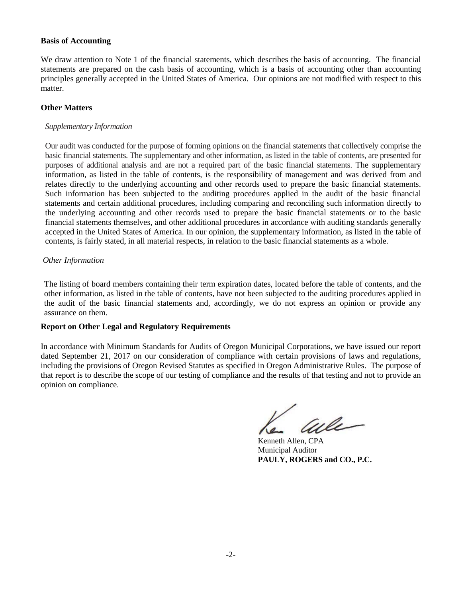#### **Basis of Accounting**

We draw attention to Note 1 of the financial statements, which describes the basis of accounting. The financial statements are prepared on the cash basis of accounting, which is a basis of accounting other than accounting principles generally accepted in the United States of America. Our opinions are not modified with respect to this matter.

#### **Other Matters**

#### *Supplementary Information*

Our audit was conducted for the purpose of forming opinions on the financial statements that collectively comprise the basic financial statements. The supplementary and other information, as listed in the table of contents, are presented for purposes of additional analysis and are not a required part of the basic financial statements. The supplementary information, as listed in the table of contents, is the responsibility of management and was derived from and relates directly to the underlying accounting and other records used to prepare the basic financial statements. Such information has been subjected to the auditing procedures applied in the audit of the basic financial statements and certain additional procedures, including comparing and reconciling such information directly to the underlying accounting and other records used to prepare the basic financial statements or to the basic financial statements themselves, and other additional procedures in accordance with auditing standards generally accepted in the United States of America. In our opinion, the supplementary information, as listed in the table of contents, is fairly stated, in all material respects, in relation to the basic financial statements as a whole.

#### *Other Information*

The listing of board members containing their term expiration dates, located before the table of contents, and the other information, as listed in the table of contents, have not been subjected to the auditing procedures applied in the audit of the basic financial statements and, accordingly, we do not express an opinion or provide any assurance on them.

#### **Report on Other Legal and Regulatory Requirements**

In accordance with Minimum Standards for Audits of Oregon Municipal Corporations, we have issued our report dated September 21, 2017 on our consideration of compliance with certain provisions of laws and regulations, including the provisions of Oregon Revised Statutes as specified in Oregon Administrative Rules. The purpose of that report is to describe the scope of our testing of compliance and the results of that testing and not to provide an opinion on compliance.

Cule

Kenneth Allen, CPA Municipal Auditor **PAULY, ROGERS and CO., P.C.**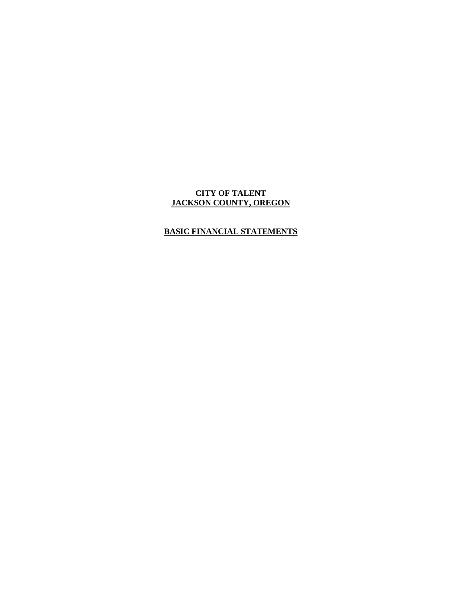# **BASIC FINANCIAL STATEMENTS**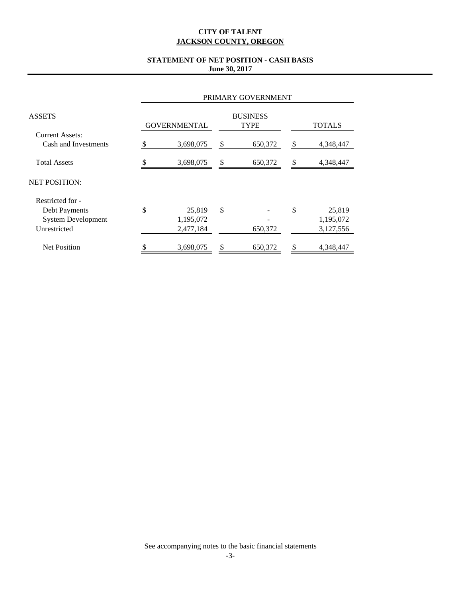#### **STATEMENT OF NET POSITION - CASH BASIS June 30, 2017**

|                           |                     | PRIMARY GOVERNMENT |                 |  |  |  |  |  |
|---------------------------|---------------------|--------------------|-----------------|--|--|--|--|--|
| <b>ASSETS</b>             | <b>GOVERNMENTAL</b> | <b>TOTALS</b>      |                 |  |  |  |  |  |
| <b>Current Assets:</b>    |                     |                    |                 |  |  |  |  |  |
| Cash and Investments      | \$<br>3,698,075     | \$<br>650,372      | \$<br>4,348,447 |  |  |  |  |  |
| <b>Total Assets</b>       | \$<br>3,698,075     | \$<br>650,372      | \$<br>4,348,447 |  |  |  |  |  |
| <b>NET POSITION:</b>      |                     |                    |                 |  |  |  |  |  |
| Restricted for -          |                     |                    |                 |  |  |  |  |  |
| Debt Payments             | \$<br>25,819        | \$                 | \$<br>25,819    |  |  |  |  |  |
| <b>System Development</b> | 1,195,072           |                    | 1,195,072       |  |  |  |  |  |
| Unrestricted              | 2,477,184           | 650,372            | 3,127,556       |  |  |  |  |  |
| <b>Net Position</b>       | \$<br>3,698,075     | \$<br>650,372      | \$<br>4,348,447 |  |  |  |  |  |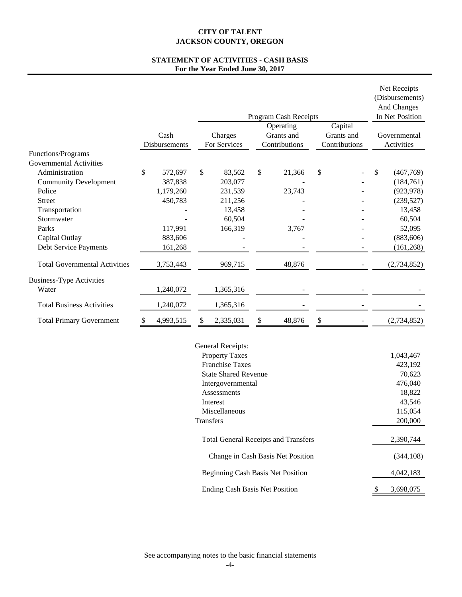#### **STATEMENT OF ACTIVITIES - CASH BASIS For the Year Ended June 30, 2017**

|                                      |                       |                         | Program Cash Receipts       |                             | Net Receipts<br>(Disbursements)<br>And Changes<br>In Net Position |
|--------------------------------------|-----------------------|-------------------------|-----------------------------|-----------------------------|-------------------------------------------------------------------|
|                                      |                       |                         | Operating                   | Capital                     |                                                                   |
|                                      | Cash<br>Disbursements | Charges<br>For Services | Grants and<br>Contributions | Grants and<br>Contributions | Governmental<br>Activities                                        |
| Functions/Programs                   |                       |                         |                             |                             |                                                                   |
| <b>Governmental Activities</b>       |                       |                         |                             |                             |                                                                   |
| Administration                       | \$<br>572,697         | \$<br>83,562            | \$<br>21,366                | \$                          | \$<br>(467,769)                                                   |
| <b>Community Development</b>         | 387,838               | 203,077                 |                             |                             | (184,761)                                                         |
| Police                               | 1,179,260             | 231,539                 | 23,743                      |                             | (923, 978)                                                        |
| <b>Street</b>                        | 450,783               | 211,256                 |                             |                             | (239, 527)                                                        |
| Transportation                       |                       | 13,458                  |                             |                             | 13,458                                                            |
| Stormwater                           |                       | 60,504                  |                             |                             | 60,504                                                            |
| Parks                                | 117,991               | 166,319                 | 3,767                       |                             | 52,095                                                            |
| Capital Outlay                       | 883,606               |                         |                             |                             | (883, 606)                                                        |
| Debt Service Payments                | 161,268               |                         |                             |                             | (161, 268)                                                        |
| <b>Total Governmental Activities</b> | 3,753,443             | 969,715                 | 48,876                      |                             | (2,734,852)                                                       |
| <b>Business-Type Activities</b>      |                       |                         |                             |                             |                                                                   |
| Water                                | 1,240,072             | 1,365,316               |                             |                             |                                                                   |
| <b>Total Business Activities</b>     | 1,240,072             | 1,365,316               |                             |                             |                                                                   |
| <b>Total Primary Government</b>      | \$<br>4,993,515       | \$<br>2,335,031         | \$<br>48,876                | \$                          | (2,734,852)                                                       |

| General Receipts:                           |   |            |
|---------------------------------------------|---|------------|
| <b>Property Taxes</b>                       |   | 1,043,467  |
| <b>Franchise Taxes</b>                      |   | 423,192    |
| <b>State Shared Revenue</b>                 |   | 70,623     |
| Intergovernmental                           |   | 476,040    |
| Assessments                                 |   | 18,822     |
| Interest                                    |   | 43,546     |
| Miscellaneous                               |   | 115,054    |
| <b>Transfers</b>                            |   | 200,000    |
| <b>Total General Receipts and Transfers</b> |   | 2,390,744  |
| Change in Cash Basis Net Position           |   | (344, 108) |
| <b>Beginning Cash Basis Net Position</b>    |   | 4,042,183  |
| <b>Ending Cash Basis Net Position</b>       | S | 3,698,075  |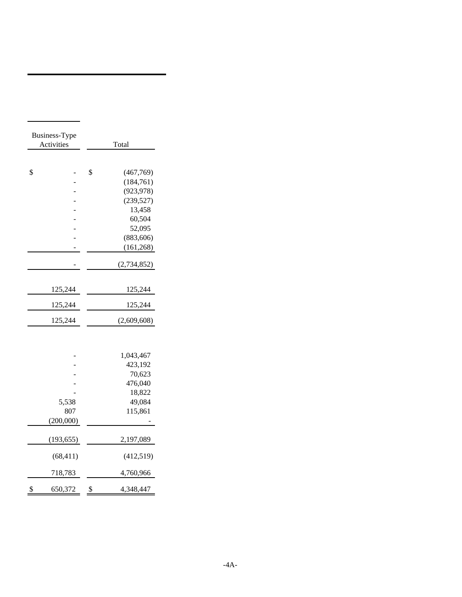| <b>Business-Type</b> |                  |
|----------------------|------------------|
| Activities           | Total            |
|                      |                  |
| \$                   | (467, 769)<br>\$ |
|                      | (184, 761)       |
|                      | (923, 978)       |
|                      | (239, 527)       |
|                      | 13,458           |
|                      | 60,504           |
|                      | 52,095           |
|                      | (883, 606)       |
|                      | (161, 268)       |
|                      | (2,734,852)      |
|                      |                  |
| 125,244              | 125,244          |
| 125,244              | 125,244          |
| 125,244              | (2,609,608)      |
|                      |                  |
|                      | 1,043,467        |
|                      | 423,192          |
|                      | 70,623           |
|                      | 476,040          |
|                      | 18,822           |
| 5,538                | 49,084           |
| 807                  | 115,861          |
| (200,000)            |                  |
| (193, 655)           | 2,197,089        |
| (68, 411)            | (412, 519)       |
| 718,783              | 4,760,966        |
| \$<br>650,372        | \$<br>4,348,447  |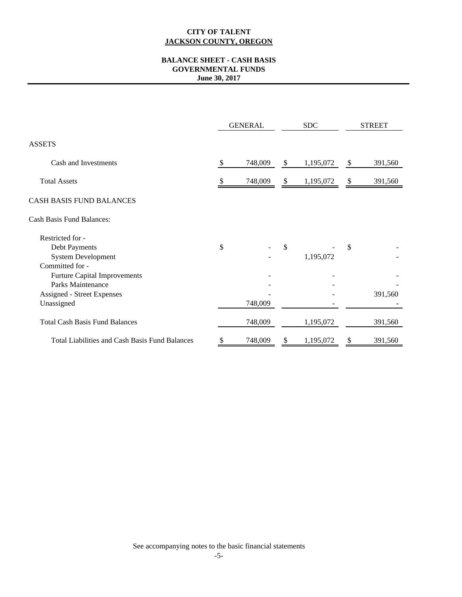#### **BALANCE SHEET - CASH BASIS GOVERNMENTAL FUNDS June 30, 2017**

|                                                       |    | <b>SDC</b><br><b>GENERAL</b> |    |           | <b>STREET</b> |         |
|-------------------------------------------------------|----|------------------------------|----|-----------|---------------|---------|
| <b>ASSETS</b>                                         |    |                              |    |           |               |         |
| Cash and Investments                                  | \$ | 748,009                      | \$ | 1,195,072 | \$            | 391,560 |
| <b>Total Assets</b>                                   | Ж  | 748,009                      | \$ | 1,195,072 | \$            | 391,560 |
| CASH BASIS FUND BALANCES                              |    |                              |    |           |               |         |
| <b>Cash Basis Fund Balances:</b>                      |    |                              |    |           |               |         |
| Restricted for -                                      |    |                              |    |           |               |         |
| Debt Payments                                         | \$ |                              | \$ |           | \$            |         |
| <b>System Development</b>                             |    |                              |    | 1,195,072 |               |         |
| Committed for -                                       |    |                              |    |           |               |         |
| <b>Furture Capital Improvements</b>                   |    |                              |    |           |               |         |
| Parks Maintenance                                     |    |                              |    |           |               |         |
| Assigned - Street Expenses                            |    |                              |    |           |               | 391,560 |
| Unassigned                                            |    | 748,009                      |    |           |               |         |
| <b>Total Cash Basis Fund Balances</b>                 |    | 748,009                      |    | 1,195,072 |               | 391,560 |
| <b>Total Liabilities and Cash Basis Fund Balances</b> | \$ | 748,009                      |    | 1,195,072 | \$            | 391,560 |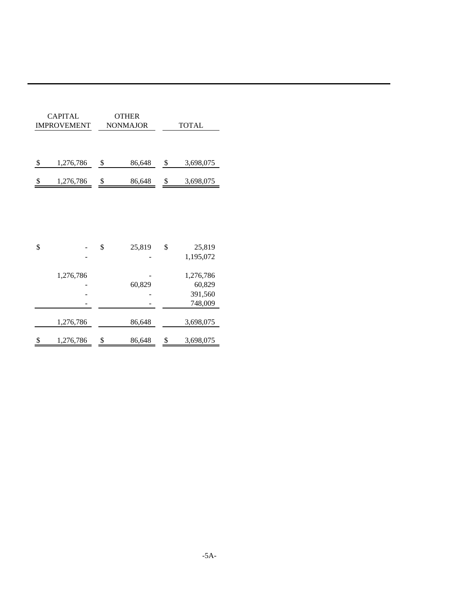|                           | <b>CAPITAL</b><br><b>IMPROVEMENT</b> | <b>OTHER</b><br><b>NONMAJOR</b> |    | <b>TOTAL</b> |
|---------------------------|--------------------------------------|---------------------------------|----|--------------|
|                           |                                      |                                 |    |              |
| $\boldsymbol{\mathsf{S}}$ | 1,276,786                            | \$<br>86,648                    | \$ | 3,698,075    |
| \$                        | 1,276,786                            | \$<br>86,648                    | \$ | 3,698,075    |
|                           |                                      |                                 |    |              |
|                           |                                      |                                 |    |              |
|                           |                                      |                                 |    |              |
| \$                        |                                      | \$<br>25,819                    | \$ | 25,819       |
|                           |                                      |                                 |    | 1,195,072    |
|                           | 1,276,786                            |                                 |    | 1,276,786    |
|                           |                                      | 60,829                          |    | 60,829       |
|                           |                                      |                                 |    | 391,560      |
|                           |                                      |                                 |    | 748,009      |
|                           | 1,276,786                            | 86,648                          |    | 3,698,075    |
| \$                        | 1,276,786                            | \$<br>86,648                    | \$ | 3,698,075    |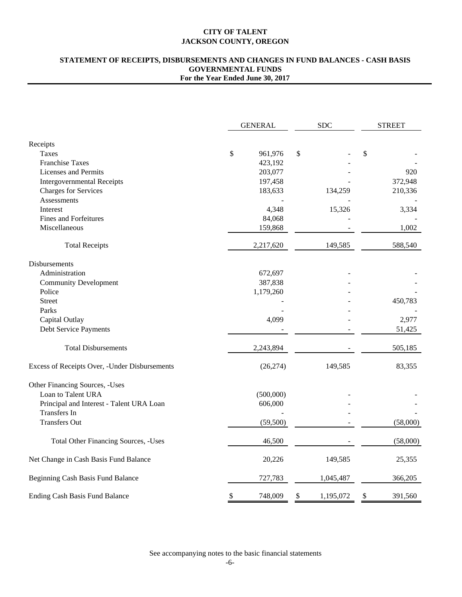#### **STATEMENT OF RECEIPTS, DISBURSEMENTS AND CHANGES IN FUND BALANCES - CASH BASIS GOVERNMENTAL FUNDS For the Year Ended June 30, 2017**

|                                               | <b>GENERAL</b> | <b>SDC</b>      | <b>STREET</b> |          |
|-----------------------------------------------|----------------|-----------------|---------------|----------|
| Receipts                                      |                |                 |               |          |
| <b>Taxes</b>                                  | \$<br>961,976  | \$              | \$            |          |
| <b>Franchise Taxes</b>                        | 423,192        |                 |               |          |
| Licenses and Permits                          | 203,077        |                 |               | 920      |
| <b>Intergovernmental Receipts</b>             | 197,458        |                 |               | 372,948  |
| <b>Charges for Services</b>                   | 183,633        | 134,259         |               | 210,336  |
| Assessments                                   |                |                 |               |          |
| Interest                                      | 4,348          | 15,326          |               | 3,334    |
| Fines and Forfeitures                         | 84,068         |                 |               |          |
| Miscellaneous                                 | 159,868        |                 |               | 1,002    |
| <b>Total Receipts</b>                         | 2,217,620      | 149,585         |               | 588,540  |
| Disbursements                                 |                |                 |               |          |
| Administration                                | 672,697        |                 |               |          |
| <b>Community Development</b>                  | 387,838        |                 |               |          |
| Police                                        | 1,179,260      |                 |               |          |
| <b>Street</b>                                 |                |                 |               | 450,783  |
| Parks                                         |                |                 |               |          |
| Capital Outlay                                | 4,099          |                 |               | 2,977    |
| Debt Service Payments                         |                |                 |               | 51,425   |
| <b>Total Disbursements</b>                    | 2,243,894      |                 |               | 505,185  |
| Excess of Receipts Over, -Under Disbursements | (26, 274)      | 149,585         |               | 83,355   |
| Other Financing Sources, -Uses                |                |                 |               |          |
| Loan to Talent URA                            | (500,000)      |                 |               |          |
| Principal and Interest - Talent URA Loan      | 606,000        |                 |               |          |
| Transfers In                                  |                |                 |               |          |
| <b>Transfers Out</b>                          | (59, 500)      |                 |               | (58,000) |
| Total Other Financing Sources, -Uses          | 46,500         |                 |               | (58,000) |
| Net Change in Cash Basis Fund Balance         | 20,226         | 149,585         |               | 25,355   |
| Beginning Cash Basis Fund Balance             | 727,783        | 1,045,487       |               | 366,205  |
| <b>Ending Cash Basis Fund Balance</b>         | \$<br>748,009  | \$<br>1,195,072 | \$            | 391,560  |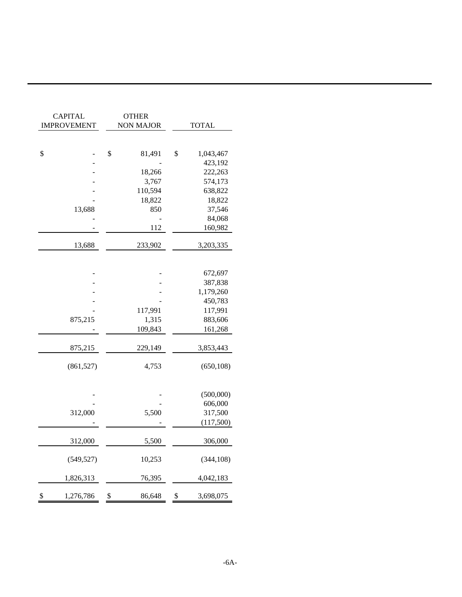| <b>CAPITAL</b><br><b>IMPROVEMENT</b> | <b>OTHER</b><br><b>NON MAJOR</b> | TOTAL           |
|--------------------------------------|----------------------------------|-----------------|
|                                      |                                  |                 |
|                                      |                                  |                 |
| \$<br>-                              | \$<br>81,491                     | \$<br>1,043,467 |
|                                      |                                  | 423,192         |
|                                      | 18,266                           | 222,263         |
|                                      | 3,767                            | 574,173         |
|                                      | 110,594                          | 638,822         |
|                                      | 18,822                           | 18,822          |
| 13,688                               | 850                              | 37,546          |
|                                      |                                  | 84,068          |
|                                      | 112                              | 160,982         |
| 13,688                               | 233,902                          | 3,203,335       |
|                                      |                                  |                 |
|                                      |                                  | 672,697         |
|                                      |                                  | 387,838         |
|                                      |                                  | 1,179,260       |
|                                      |                                  | 450,783         |
|                                      | 117,991                          | 117,991         |
| 875,215                              | 1,315                            | 883,606         |
|                                      | 109,843                          | 161,268         |
| 875,215                              | 229,149                          | 3,853,443       |
| (861, 527)                           | 4,753                            | (650, 108)      |
|                                      |                                  |                 |
|                                      |                                  | (500,000)       |
|                                      |                                  | 606,000         |
| 312,000                              | 5,500                            | 317,500         |
|                                      |                                  | (117,500)       |
| 312,000                              | 5,500                            | 306,000         |
| (549, 527)                           | 10,253                           | (344, 108)      |
| 1,826,313                            | 76,395                           | 4,042,183       |
| $\boldsymbol{\$}$<br>1,276,786       | \$<br>86,648                     | \$<br>3,698,075 |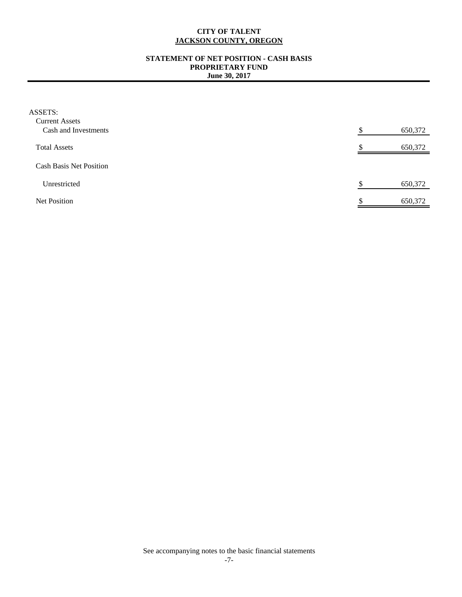#### **STATEMENT OF NET POSITION - CASH BASIS PROPRIETARY FUND June 30, 2017**

| ASSETS:                                       |    |         |
|-----------------------------------------------|----|---------|
| <b>Current Assets</b><br>Cash and Investments | \$ | 650,372 |
| <b>Total Assets</b>                           | \$ | 650,372 |
| <b>Cash Basis Net Position</b>                |    |         |
| Unrestricted                                  | \$ | 650,372 |
| <b>Net Position</b>                           | ¢  | 650,372 |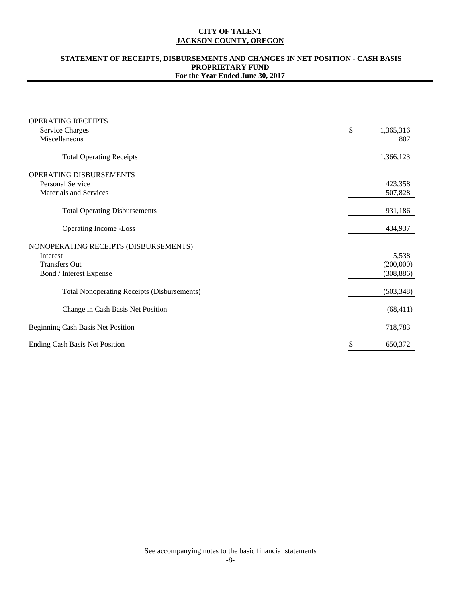#### **STATEMENT OF RECEIPTS, DISBURSEMENTS AND CHANGES IN NET POSITION - CASH BASIS PROPRIETARY FUND For the Year Ended June 30, 2017**

| <b>OPERATING RECEIPTS</b><br><b>Service Charges</b><br>Miscellaneous                                 | $\boldsymbol{\mathsf{S}}$<br>1,365,316<br>807 |
|------------------------------------------------------------------------------------------------------|-----------------------------------------------|
| <b>Total Operating Receipts</b>                                                                      | 1,366,123                                     |
| OPERATING DISBURSEMENTS<br>Personal Service<br><b>Materials and Services</b>                         | 423,358<br>507,828                            |
| <b>Total Operating Disbursements</b>                                                                 | 931,186                                       |
| Operating Income -Loss                                                                               | 434,937                                       |
| NONOPERATING RECEIPTS (DISBURSEMENTS)<br>Interest<br><b>Transfers Out</b><br>Bond / Interest Expense | 5,538<br>(200,000)<br>(308, 886)              |
| <b>Total Nonoperating Receipts (Disbursements)</b>                                                   | (503, 348)                                    |
| Change in Cash Basis Net Position                                                                    | (68, 411)                                     |
| Beginning Cash Basis Net Position                                                                    | 718,783                                       |
| <b>Ending Cash Basis Net Position</b>                                                                | 650,372                                       |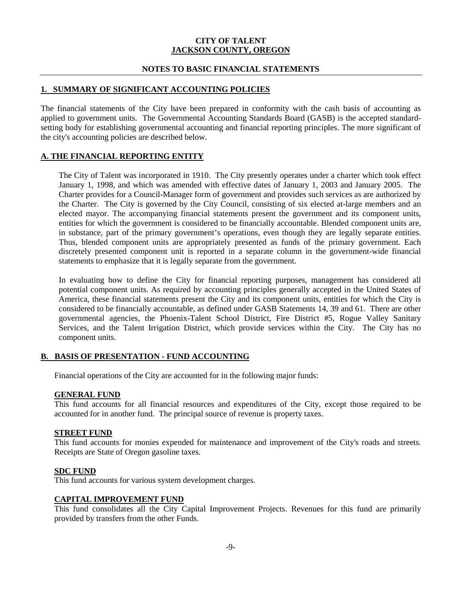#### **NOTES TO BASIC FINANCIAL STATEMENTS**

#### **1. SUMMARY OF SIGNIFICANT ACCOUNTING POLICIES**

The financial statements of the City have been prepared in conformity with the cash basis of accounting as applied to government units. The Governmental Accounting Standards Board (GASB) is the accepted standardsetting body for establishing governmental accounting and financial reporting principles. The more significant of the city's accounting policies are described below.

#### **A. THE FINANCIAL REPORTING ENTITY**

The City of Talent was incorporated in 1910. The City presently operates under a charter which took effect January 1, 1998, and which was amended with effective dates of January 1, 2003 and January 2005. The Charter provides for a Council-Manager form of government and provides such services as are authorized by the Charter. The City is governed by the City Council, consisting of six elected at-large members and an elected mayor. The accompanying financial statements present the government and its component units, entities for which the government is considered to be financially accountable. Blended component units are, in substance, part of the primary government's operations, even though they are legally separate entities. Thus, blended component units are appropriately presented as funds of the primary government. Each discretely presented component unit is reported in a separate column in the government-wide financial statements to emphasize that it is legally separate from the government.

In evaluating how to define the City for financial reporting purposes, management has considered all potential component units. As required by accounting principles generally accepted in the United States of America, these financial statements present the City and its component units, entities for which the City is considered to be financially accountable, as defined under GASB Statements 14, 39 and 61. There are other governmental agencies, the Phoenix-Talent School District, Fire District #5, Rogue Valley Sanitary Services, and the Talent Irrigation District, which provide services within the City. The City has no component units.

#### **B. BASIS OF PRESENTATION - FUND ACCOUNTING**

Financial operations of the City are accounted for in the following major funds:

#### **GENERAL FUND**

This fund accounts for all financial resources and expenditures of the City, except those required to be accounted for in another fund. The principal source of revenue is property taxes.

#### **STREET FUND**

This fund accounts for monies expended for maintenance and improvement of the City's roads and streets. Receipts are State of Oregon gasoline taxes.

#### **SDC FUND**

This fund accounts for various system development charges.

#### **CAPITAL IMPROVEMENT FUND**

This fund consolidates all the City Capital Improvement Projects. Revenues for this fund are primarily provided by transfers from the other Funds.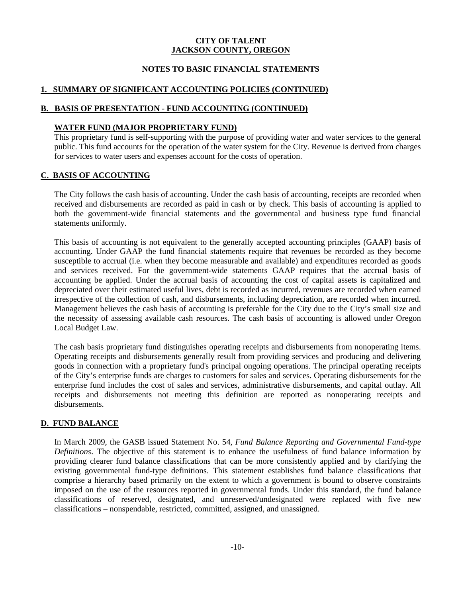#### **NOTES TO BASIC FINANCIAL STATEMENTS**

#### **1. SUMMARY OF SIGNIFICANT ACCOUNTING POLICIES (CONTINUED)**

#### **B. BASIS OF PRESENTATION - FUND ACCOUNTING (CONTINUED)**

#### **WATER FUND (MAJOR PROPRIETARY FUND)**

This proprietary fund is self-supporting with the purpose of providing water and water services to the general public. This fund accounts for the operation of the water system for the City. Revenue is derived from charges for services to water users and expenses account for the costs of operation.

#### **C. BASIS OF ACCOUNTING**

The City follows the cash basis of accounting. Under the cash basis of accounting, receipts are recorded when received and disbursements are recorded as paid in cash or by check. This basis of accounting is applied to both the government-wide financial statements and the governmental and business type fund financial statements uniformly.

This basis of accounting is not equivalent to the generally accepted accounting principles (GAAP) basis of accounting. Under GAAP the fund financial statements require that revenues be recorded as they become susceptible to accrual (i.e. when they become measurable and available) and expenditures recorded as goods and services received. For the government-wide statements GAAP requires that the accrual basis of accounting be applied. Under the accrual basis of accounting the cost of capital assets is capitalized and depreciated over their estimated useful lives, debt is recorded as incurred, revenues are recorded when earned irrespective of the collection of cash, and disbursements, including depreciation, are recorded when incurred. Management believes the cash basis of accounting is preferable for the City due to the City's small size and the necessity of assessing available cash resources. The cash basis of accounting is allowed under Oregon Local Budget Law.

The cash basis proprietary fund distinguishes operating receipts and disbursements from nonoperating items. Operating receipts and disbursements generally result from providing services and producing and delivering goods in connection with a proprietary fund's principal ongoing operations. The principal operating receipts of the City's enterprise funds are charges to customers for sales and services. Operating disbursements for the enterprise fund includes the cost of sales and services, administrative disbursements, and capital outlay. All receipts and disbursements not meeting this definition are reported as nonoperating receipts and disbursements.

## **D. FUND BALANCE**

In March 2009, the GASB issued Statement No. 54, *Fund Balance Reporting and Governmental Fund-type Definitions*. The objective of this statement is to enhance the usefulness of fund balance information by providing clearer fund balance classifications that can be more consistently applied and by clarifying the existing governmental fund-type definitions. This statement establishes fund balance classifications that comprise a hierarchy based primarily on the extent to which a government is bound to observe constraints imposed on the use of the resources reported in governmental funds. Under this standard, the fund balance classifications of reserved, designated, and unreserved/undesignated were replaced with five new classifications – nonspendable, restricted, committed, assigned, and unassigned.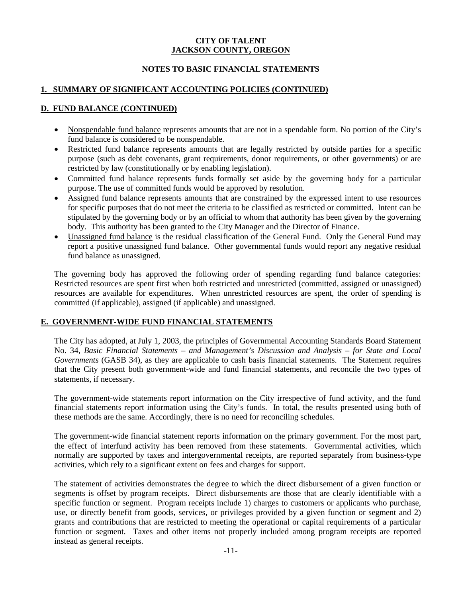#### **NOTES TO BASIC FINANCIAL STATEMENTS**

#### **1. SUMMARY OF SIGNIFICANT ACCOUNTING POLICIES (CONTINUED)**

#### **D. FUND BALANCE (CONTINUED)**

- Nonspendable fund balance represents amounts that are not in a spendable form. No portion of the City's fund balance is considered to be nonspendable.
- Restricted fund balance represents amounts that are legally restricted by outside parties for a specific purpose (such as debt covenants, grant requirements, donor requirements, or other governments) or are restricted by law (constitutionally or by enabling legislation).
- Committed fund balance represents funds formally set aside by the governing body for a particular purpose. The use of committed funds would be approved by resolution.
- Assigned fund balance represents amounts that are constrained by the expressed intent to use resources for specific purposes that do not meet the criteria to be classified as restricted or committed. Intent can be stipulated by the governing body or by an official to whom that authority has been given by the governing body. This authority has been granted to the City Manager and the Director of Finance.
- Unassigned fund balance is the residual classification of the General Fund. Only the General Fund may report a positive unassigned fund balance. Other governmental funds would report any negative residual fund balance as unassigned.

The governing body has approved the following order of spending regarding fund balance categories: Restricted resources are spent first when both restricted and unrestricted (committed, assigned or unassigned) resources are available for expenditures. When unrestricted resources are spent, the order of spending is committed (if applicable), assigned (if applicable) and unassigned.

#### **E. GOVERNMENT-WIDE FUND FINANCIAL STATEMENTS**

The City has adopted, at July 1, 2003, the principles of Governmental Accounting Standards Board Statement No. 34, *Basic Financial Statements – and Management's Discussion and Analysis – for State and Local Governments* (GASB 34), as they are applicable to cash basis financial statements. The Statement requires that the City present both government-wide and fund financial statements, and reconcile the two types of statements, if necessary.

The government-wide statements report information on the City irrespective of fund activity, and the fund financial statements report information using the City's funds. In total, the results presented using both of these methods are the same. Accordingly, there is no need for reconciling schedules.

The government-wide financial statement reports information on the primary government. For the most part, the effect of interfund activity has been removed from these statements. Governmental activities, which normally are supported by taxes and intergovernmental receipts, are reported separately from business-type activities, which rely to a significant extent on fees and charges for support.

The statement of activities demonstrates the degree to which the direct disbursement of a given function or segments is offset by program receipts. Direct disbursements are those that are clearly identifiable with a specific function or segment. Program receipts include 1) charges to customers or applicants who purchase, use, or directly benefit from goods, services, or privileges provided by a given function or segment and 2) grants and contributions that are restricted to meeting the operational or capital requirements of a particular function or segment. Taxes and other items not properly included among program receipts are reported instead as general receipts.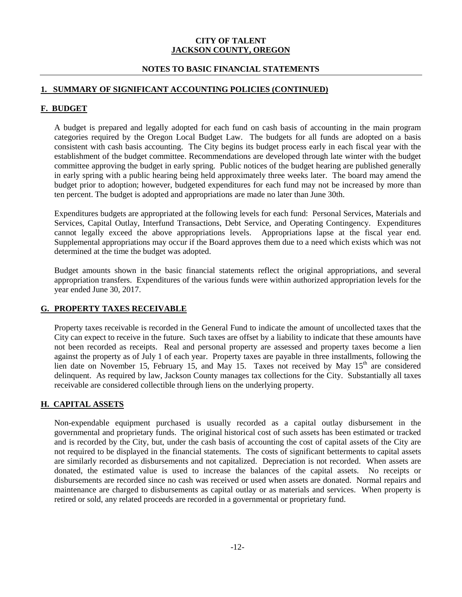#### **NOTES TO BASIC FINANCIAL STATEMENTS**

#### **1. SUMMARY OF SIGNIFICANT ACCOUNTING POLICIES (CONTINUED)**

#### **F. BUDGET**

A budget is prepared and legally adopted for each fund on cash basis of accounting in the main program categories required by the Oregon Local Budget Law. The budgets for all funds are adopted on a basis consistent with cash basis accounting. The City begins its budget process early in each fiscal year with the establishment of the budget committee. Recommendations are developed through late winter with the budget committee approving the budget in early spring. Public notices of the budget hearing are published generally in early spring with a public hearing being held approximately three weeks later. The board may amend the budget prior to adoption; however, budgeted expenditures for each fund may not be increased by more than ten percent. The budget is adopted and appropriations are made no later than June 30th.

Expenditures budgets are appropriated at the following levels for each fund: Personal Services, Materials and Services, Capital Outlay, Interfund Transactions, Debt Service, and Operating Contingency. Expenditures cannot legally exceed the above appropriations levels. Appropriations lapse at the fiscal year end. Supplemental appropriations may occur if the Board approves them due to a need which exists which was not determined at the time the budget was adopted.

Budget amounts shown in the basic financial statements reflect the original appropriations, and several appropriation transfers. Expenditures of the various funds were within authorized appropriation levels for the year ended June 30, 2017.

## **G. PROPERTY TAXES RECEIVABLE**

Property taxes receivable is recorded in the General Fund to indicate the amount of uncollected taxes that the City can expect to receive in the future. Such taxes are offset by a liability to indicate that these amounts have not been recorded as receipts. Real and personal property are assessed and property taxes become a lien against the property as of July 1 of each year. Property taxes are payable in three installments, following the lien date on November 15, February 15, and May 15. Taxes not received by May 15<sup>th</sup> are considered delinquent. As required by law, Jackson County manages tax collections for the City. Substantially all taxes receivable are considered collectible through liens on the underlying property.

## **H. CAPITAL ASSETS**

Non-expendable equipment purchased is usually recorded as a capital outlay disbursement in the governmental and proprietary funds. The original historical cost of such assets has been estimated or tracked and is recorded by the City, but, under the cash basis of accounting the cost of capital assets of the City are not required to be displayed in the financial statements. The costs of significant betterments to capital assets are similarly recorded as disbursements and not capitalized. Depreciation is not recorded. When assets are donated, the estimated value is used to increase the balances of the capital assets. No receipts or disbursements are recorded since no cash was received or used when assets are donated. Normal repairs and maintenance are charged to disbursements as capital outlay or as materials and services. When property is retired or sold, any related proceeds are recorded in a governmental or proprietary fund.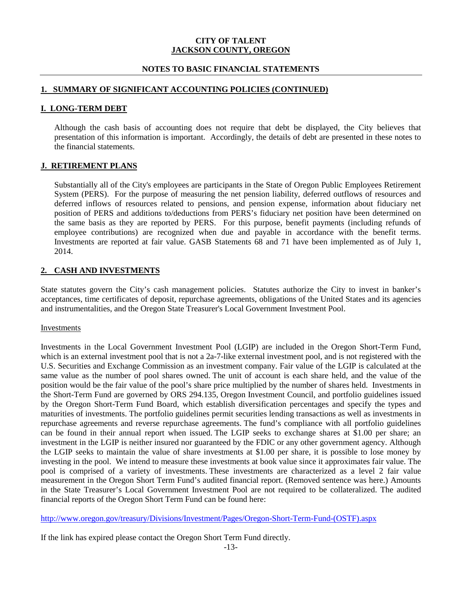#### **NOTES TO BASIC FINANCIAL STATEMENTS**

#### **1. SUMMARY OF SIGNIFICANT ACCOUNTING POLICIES (CONTINUED)**

#### **I. LONG-TERM DEBT**

Although the cash basis of accounting does not require that debt be displayed, the City believes that presentation of this information is important. Accordingly, the details of debt are presented in these notes to the financial statements.

#### **J. RETIREMENT PLANS**

Substantially all of the City's employees are participants in the State of Oregon Public Employees Retirement System (PERS). For the purpose of measuring the net pension liability, deferred outflows of resources and deferred inflows of resources related to pensions, and pension expense, information about fiduciary net position of PERS and additions to/deductions from PERS's fiduciary net position have been determined on the same basis as they are reported by PERS. For this purpose, benefit payments (including refunds of employee contributions) are recognized when due and payable in accordance with the benefit terms. Investments are reported at fair value. GASB Statements 68 and 71 have been implemented as of July 1, 2014.

#### **2. CASH AND INVESTMENTS**

State statutes govern the City's cash management policies. Statutes authorize the City to invest in banker's acceptances, time certificates of deposit, repurchase agreements, obligations of the United States and its agencies and instrumentalities, and the Oregon State Treasurer's Local Government Investment Pool.

#### Investments

Investments in the Local Government Investment Pool (LGIP) are included in the Oregon Short-Term Fund, which is an external investment pool that is not a 2a-7-like external investment pool, and is not registered with the U.S. Securities and Exchange Commission as an investment company. Fair value of the LGIP is calculated at the same value as the number of pool shares owned. The unit of account is each share held, and the value of the position would be the fair value of the pool's share price multiplied by the number of shares held. Investments in the Short-Term Fund are governed by ORS 294.135, Oregon Investment Council, and portfolio guidelines issued by the Oregon Short-Term Fund Board, which establish diversification percentages and specify the types and maturities of investments. The portfolio guidelines permit securities lending transactions as well as investments in repurchase agreements and reverse repurchase agreements. The fund's compliance with all portfolio guidelines can be found in their annual report when issued. The LGIP seeks to exchange shares at \$1.00 per share; an investment in the LGIP is neither insured nor guaranteed by the FDIC or any other government agency. Although the LGIP seeks to maintain the value of share investments at \$1.00 per share, it is possible to lose money by investing in the pool. We intend to measure these investments at book value since it approximates fair value. The pool is comprised of a variety of investments. These investments are characterized as a level 2 fair value measurement in the Oregon Short Term Fund's audited financial report. (Removed sentence was here.) Amounts in the State Treasurer's Local Government Investment Pool are not required to be collateralized. The audited financial reports of the Oregon Short Term Fund can be found here:

http://www.oregon.gov/treasury/Divisions/Investment/Pages/Oregon-Short-Term-Fund-(OSTF).aspx

If the link has expired please contact the Oregon Short Term Fund directly.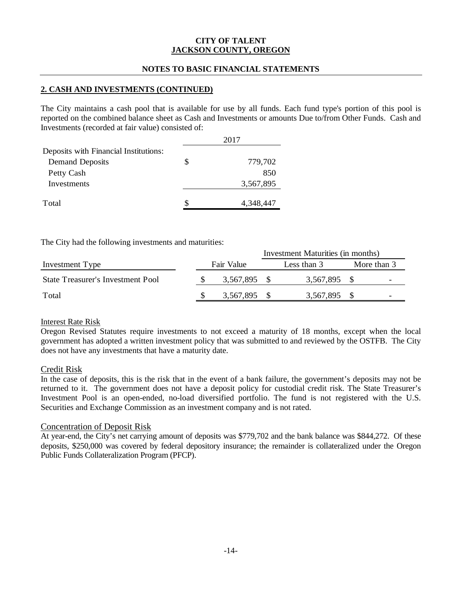#### **NOTES TO BASIC FINANCIAL STATEMENTS**

#### **2. CASH AND INVESTMENTS (CONTINUED)**

The City maintains a cash pool that is available for use by all funds. Each fund type's portion of this pool is reported on the combined balance sheet as Cash and Investments or amounts Due to/from Other Funds. Cash and Investments (recorded at fair value) consisted of:

|                                       |   | 2017      |
|---------------------------------------|---|-----------|
| Deposits with Financial Institutions: |   |           |
| <b>Demand Deposits</b>                | S | 779,702   |
| Petty Cash                            |   | 850       |
| Investments                           |   | 3,567,895 |
|                                       |   |           |
| Total                                 |   | 4,348,447 |

The City had the following investments and maturities:

|                                          |            |           | Investment Maturities (in months) |             |             |  |  |
|------------------------------------------|------------|-----------|-----------------------------------|-------------|-------------|--|--|
| Investment Type                          | Fair Value |           |                                   | Less than 3 | More than 3 |  |  |
| <b>State Treasurer's Investment Pool</b> |            | 3.567.895 |                                   | 3,567,895   |             |  |  |
| Total                                    |            | 3,567,895 |                                   | 3,567,895   |             |  |  |

#### Interest Rate Risk

Oregon Revised Statutes require investments to not exceed a maturity of 18 months, except when the local government has adopted a written investment policy that was submitted to and reviewed by the OSTFB. The City does not have any investments that have a maturity date.

#### Credit Risk

In the case of deposits, this is the risk that in the event of a bank failure, the government's deposits may not be returned to it. The government does not have a deposit policy for custodial credit risk. The State Treasurer's Investment Pool is an open-ended, no-load diversified portfolio. The fund is not registered with the U.S. Securities and Exchange Commission as an investment company and is not rated.

#### Concentration of Deposit Risk

At year-end, the City's net carrying amount of deposits was \$779,702 and the bank balance was \$844,272. Of these deposits, \$250,000 was covered by federal depository insurance; the remainder is collateralized under the Oregon Public Funds Collateralization Program (PFCP).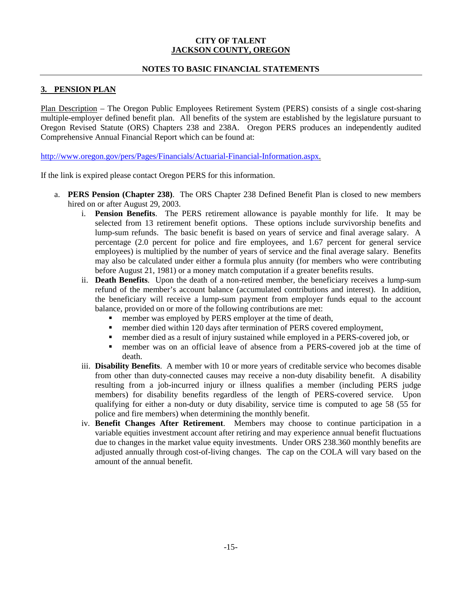#### **NOTES TO BASIC FINANCIAL STATEMENTS**

#### **3. PENSION PLAN**

Plan Description – The Oregon Public Employees Retirement System (PERS) consists of a single cost-sharing multiple-employer defined benefit plan. All benefits of the system are established by the legislature pursuant to Oregon Revised Statute (ORS) Chapters 238 and 238A. Oregon PERS produces an independently audited Comprehensive Annual Financial Report which can be found at:

http://www.oregon.gov/pers/Pages/Financials/Actuarial-Financial-Information.aspx.

If the link is expired please contact Oregon PERS for this information.

- a. **PERS Pension (Chapter 238)**. The ORS Chapter 238 Defined Benefit Plan is closed to new members hired on or after August 29, 2003.
	- i. **Pension Benefits**. The PERS retirement allowance is payable monthly for life. It may be selected from 13 retirement benefit options. These options include survivorship benefits and lump-sum refunds. The basic benefit is based on years of service and final average salary. A percentage (2.0 percent for police and fire employees, and 1.67 percent for general service employees) is multiplied by the number of years of service and the final average salary. Benefits may also be calculated under either a formula plus annuity (for members who were contributing before August 21, 1981) or a money match computation if a greater benefits results.
	- ii. **Death Benefits**. Upon the death of a non-retired member, the beneficiary receives a lump-sum refund of the member's account balance (accumulated contributions and interest). In addition, the beneficiary will receive a lump-sum payment from employer funds equal to the account balance, provided on or more of the following contributions are met:
		- member was employed by PERS employer at the time of death,
		- **EXECUTE:** member died within 120 days after termination of PERS covered employment,
		- member died as a result of injury sustained while employed in a PERS-covered job, or
		- member was on an official leave of absence from a PERS-covered job at the time of death.
	- iii. **Disability Benefits**. A member with 10 or more years of creditable service who becomes disable from other than duty-connected causes may receive a non-duty disability benefit. A disability resulting from a job-incurred injury or illness qualifies a member (including PERS judge members) for disability benefits regardless of the length of PERS-covered service. Upon qualifying for either a non-duty or duty disability, service time is computed to age 58 (55 for police and fire members) when determining the monthly benefit.
	- iv. **Benefit Changes After Retirement**. Members may choose to continue participation in a variable equities investment account after retiring and may experience annual benefit fluctuations due to changes in the market value equity investments. Under ORS 238.360 monthly benefits are adjusted annually through cost-of-living changes. The cap on the COLA will vary based on the amount of the annual benefit.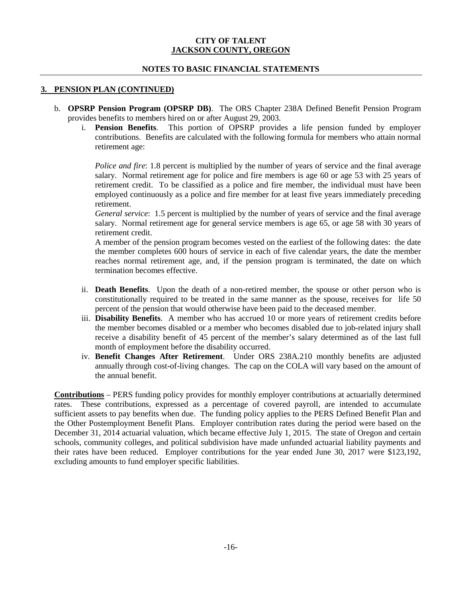#### **NOTES TO BASIC FINANCIAL STATEMENTS**

#### **3. PENSION PLAN (CONTINUED)**

- b. **OPSRP Pension Program (OPSRP DB)**. The ORS Chapter 238A Defined Benefit Pension Program provides benefits to members hired on or after August 29, 2003.
	- i. **Pension Benefits**. This portion of OPSRP provides a life pension funded by employer contributions. Benefits are calculated with the following formula for members who attain normal retirement age:

*Police and fire*: 1.8 percent is multiplied by the number of years of service and the final average salary. Normal retirement age for police and fire members is age 60 or age 53 with 25 years of retirement credit. To be classified as a police and fire member, the individual must have been employed continuously as a police and fire member for at least five years immediately preceding retirement.

 *General service*: 1.5 percent is multiplied by the number of years of service and the final average salary. Normal retirement age for general service members is age 65, or age 58 with 30 years of retirement credit.

 A member of the pension program becomes vested on the earliest of the following dates: the date the member completes 600 hours of service in each of five calendar years, the date the member reaches normal retirement age, and, if the pension program is terminated, the date on which termination becomes effective.

- ii. **Death Benefits**. Upon the death of a non-retired member, the spouse or other person who is constitutionally required to be treated in the same manner as the spouse, receives for life 50 percent of the pension that would otherwise have been paid to the deceased member.
- iii. **Disability Benefits**. A member who has accrued 10 or more years of retirement credits before the member becomes disabled or a member who becomes disabled due to job-related injury shall receive a disability benefit of 45 percent of the member's salary determined as of the last full month of employment before the disability occurred.
- iv. **Benefit Changes After Retirement**. Under ORS 238A.210 monthly benefits are adjusted annually through cost-of-living changes. The cap on the COLA will vary based on the amount of the annual benefit.

**Contributions** – PERS funding policy provides for monthly employer contributions at actuarially determined rates. These contributions, expressed as a percentage of covered payroll, are intended to accumulate sufficient assets to pay benefits when due. The funding policy applies to the PERS Defined Benefit Plan and the Other Postemployment Benefit Plans. Employer contribution rates during the period were based on the December 31, 2014 actuarial valuation, which became effective July 1, 2015. The state of Oregon and certain schools, community colleges, and political subdivision have made unfunded actuarial liability payments and their rates have been reduced. Employer contributions for the year ended June 30, 2017 were \$123,192, excluding amounts to fund employer specific liabilities.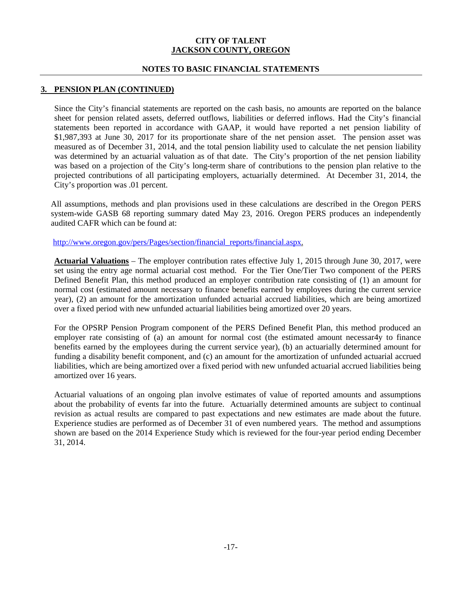#### **NOTES TO BASIC FINANCIAL STATEMENTS**

#### **3. PENSION PLAN (CONTINUED)**

Since the City's financial statements are reported on the cash basis, no amounts are reported on the balance sheet for pension related assets, deferred outflows, liabilities or deferred inflows. Had the City's financial statements been reported in accordance with GAAP, it would have reported a net pension liability of \$1,987,393 at June 30, 2017 for its proportionate share of the net pension asset. The pension asset was measured as of December 31, 2014, and the total pension liability used to calculate the net pension liability was determined by an actuarial valuation as of that date. The City's proportion of the net pension liability was based on a projection of the City's long-term share of contributions to the pension plan relative to the projected contributions of all participating employers, actuarially determined. At December 31, 2014, the City's proportion was .01 percent.

All assumptions, methods and plan provisions used in these calculations are described in the Oregon PERS system-wide GASB 68 reporting summary dated May 23, 2016. Oregon PERS produces an independently audited CAFR which can be found at:

http://www.oregon.gov/pers/Pages/section/financial\_reports/financial.aspx.

**Actuarial Valuations** – The employer contribution rates effective July 1, 2015 through June 30, 2017, were set using the entry age normal actuarial cost method. For the Tier One/Tier Two component of the PERS Defined Benefit Plan, this method produced an employer contribution rate consisting of (1) an amount for normal cost (estimated amount necessary to finance benefits earned by employees during the current service year), (2) an amount for the amortization unfunded actuarial accrued liabilities, which are being amortized over a fixed period with new unfunded actuarial liabilities being amortized over 20 years.

For the OPSRP Pension Program component of the PERS Defined Benefit Plan, this method produced an employer rate consisting of (a) an amount for normal cost (the estimated amount necessar 4y to finance benefits earned by the employees during the current service year), (b) an actuarially determined amount for funding a disability benefit component, and (c) an amount for the amortization of unfunded actuarial accrued liabilities, which are being amortized over a fixed period with new unfunded actuarial accrued liabilities being amortized over 16 years.

Actuarial valuations of an ongoing plan involve estimates of value of reported amounts and assumptions about the probability of events far into the future. Actuarially determined amounts are subject to continual revision as actual results are compared to past expectations and new estimates are made about the future. Experience studies are performed as of December 31 of even numbered years. The method and assumptions shown are based on the 2014 Experience Study which is reviewed for the four-year period ending December 31, 2014.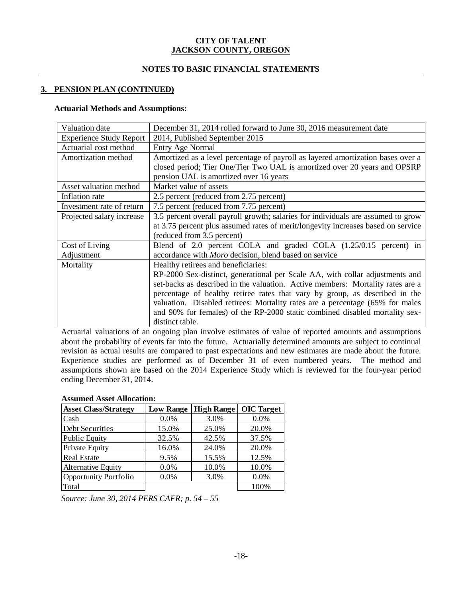#### **NOTES TO BASIC FINANCIAL STATEMENTS**

#### **3. PENSION PLAN (CONTINUED)**

#### **Actuarial Methods and Assumptions:**

| Valuation date                 | December 31, 2014 rolled forward to June 30, 2016 measurement date               |
|--------------------------------|----------------------------------------------------------------------------------|
| <b>Experience Study Report</b> | 2014, Published September 2015                                                   |
| Actuarial cost method          | Entry Age Normal                                                                 |
| Amortization method            | Amortized as a level percentage of payroll as layered amortization bases over a  |
|                                | closed period; Tier One/Tier Two UAL is amortized over 20 years and OPSRP        |
|                                | pension UAL is amortized over 16 years                                           |
| Asset valuation method         | Market value of assets                                                           |
| Inflation rate                 | 2.5 percent (reduced from 2.75 percent)                                          |
| Investment rate of return      | 7.5 percent (reduced from 7.75 percent)                                          |
| Projected salary increase      | 3.5 percent overall payroll growth; salaries for individuals are assumed to grow |
|                                | at 3.75 percent plus assumed rates of merit/longevity increases based on service |
|                                | (reduced from 3.5 percent)                                                       |
| Cost of Living                 | Blend of 2.0 percent COLA and graded COLA (1.25/0.15 percent) in                 |
| Adjustment                     | accordance with Moro decision, blend based on service                            |
| Mortality                      | Healthy retirees and beneficiaries:                                              |
|                                | RP-2000 Sex-distinct, generational per Scale AA, with collar adjustments and     |
|                                | set-backs as described in the valuation. Active members: Mortality rates are a   |
|                                | percentage of healthy retiree rates that vary by group, as described in the      |
|                                | valuation. Disabled retirees: Mortality rates are a percentage (65% for males    |
|                                | and 90% for females) of the RP-2000 static combined disabled mortality sex-      |
|                                | distinct table.                                                                  |

Actuarial valuations of an ongoing plan involve estimates of value of reported amounts and assumptions about the probability of events far into the future. Actuarially determined amounts are subject to continual revision as actual results are compared to past expectations and new estimates are made about the future. Experience studies are performed as of December 31 of even numbered years. The method and assumptions shown are based on the 2014 Experience Study which is reviewed for the four-year period ending December 31, 2014.

#### **Assumed Asset Allocation:**

| <b>Asset Class/Strategy</b>  | <b>Low Range</b> | <b>High Range</b> | <b>OIC</b> Target |
|------------------------------|------------------|-------------------|-------------------|
| Cash                         | 0.0%             | 3.0%              | $0.0\%$           |
| <b>Debt Securities</b>       | 15.0%            | 25.0%             | 20.0%             |
| <b>Public Equity</b>         | 32.5%            | 42.5%             | 37.5%             |
| Private Equity               | 16.0%            | 24.0%             | 20.0%             |
| <b>Real Estate</b>           | 9.5%             | 15.5%             | 12.5%             |
| <b>Alternative Equity</b>    | 0.0%             | 10.0%             | 10.0%             |
| <b>Opportunity Portfolio</b> | 0.0%             | 3.0%              | 0.0%              |
| Total                        |                  |                   | 100%              |

*Source: June 30, 2014 PERS CAFR; p. 54 – 55*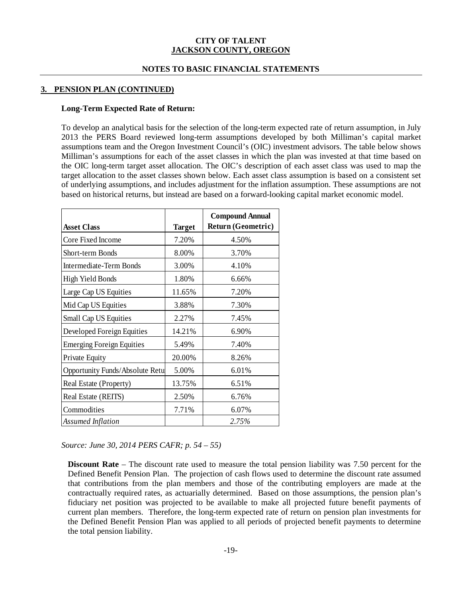#### **NOTES TO BASIC FINANCIAL STATEMENTS**

#### **3. PENSION PLAN (CONTINUED)**

#### **Long-Term Expected Rate of Return:**

To develop an analytical basis for the selection of the long-term expected rate of return assumption, in July 2013 the PERS Board reviewed long-term assumptions developed by both Milliman's capital market assumptions team and the Oregon Investment Council's (OIC) investment advisors. The table below shows Milliman's assumptions for each of the asset classes in which the plan was invested at that time based on the OIC long-term target asset allocation. The OIC's description of each asset class was used to map the target allocation to the asset classes shown below. Each asset class assumption is based on a consistent set of underlying assumptions, and includes adjustment for the inflation assumption. These assumptions are not based on historical returns, but instead are based on a forward-looking capital market economic model.

|                                  |               | <b>Compound Annual</b>    |
|----------------------------------|---------------|---------------------------|
| <b>Asset Class</b>               | <b>Target</b> | <b>Return (Geometric)</b> |
| Core Fixed Income                | 7.20%         | 4.50%                     |
| Short-term Bonds                 | 8.00%         | 3.70%                     |
| Intermediate-Term Bonds          | 3.00%         | 4.10%                     |
| <b>High Yield Bonds</b>          | 1.80%         | 6.66%                     |
| Large Cap US Equities            | 11.65%        | 7.20%                     |
| Mid Cap US Equities              | 3.88%         | 7.30%                     |
| Small Cap US Equities            | 2.27%         | 7.45%                     |
| Developed Foreign Equities       | 14.21%        | 6.90%                     |
| <b>Emerging Foreign Equities</b> | 5.49%         | 7.40%                     |
| Private Equity                   | 20.00%        | 8.26%                     |
| Opportunity Funds/Absolute Retu  | 5.00%         | 6.01%                     |
| Real Estate (Property)           | 13.75%        | 6.51%                     |
| Real Estate (REITS)              | 2.50%         | 6.76%                     |
| Commodities                      | 7.71%         | 6.07%                     |
| Assumed Inflation                |               | 2.75%                     |

*Source: June 30, 2014 PERS CAFR; p. 54 – 55)*

**Discount Rate** – The discount rate used to measure the total pension liability was 7.50 percent for the Defined Benefit Pension Plan. The projection of cash flows used to determine the discount rate assumed that contributions from the plan members and those of the contributing employers are made at the contractually required rates, as actuarially determined. Based on those assumptions, the pension plan's fiduciary net position was projected to be available to make all projected future benefit payments of current plan members. Therefore, the long-term expected rate of return on pension plan investments for the Defined Benefit Pension Plan was applied to all periods of projected benefit payments to determine the total pension liability.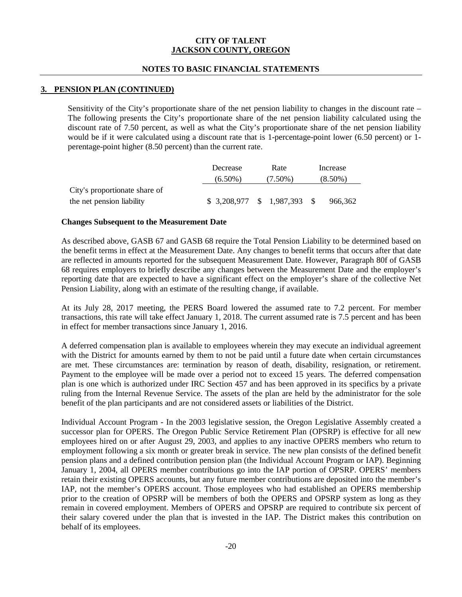#### **NOTES TO BASIC FINANCIAL STATEMENTS**

#### **3. PENSION PLAN (CONTINUED)**

Sensitivity of the City's proportionate share of the net pension liability to changes in the discount rate – The following presents the City's proportionate share of the net pension liability calculated using the discount rate of 7.50 percent, as well as what the City's proportionate share of the net pension liability would be if it were calculated using a discount rate that is 1-percentage-point lower (6.50 percent) or 1perentage-point higher (8.50 percent) than the current rate.

|                               | Decrease                      | Rate       |  | Increase |            |  |
|-------------------------------|-------------------------------|------------|--|----------|------------|--|
|                               | $(6.50\%)$                    | $(7.50\%)$ |  |          | $(8.50\%)$ |  |
| City's proportionate share of |                               |            |  |          |            |  |
| the net pension liability     | $$3,208,977$ $$1,987,393$ $$$ |            |  |          | 966.362    |  |

#### **Changes Subsequent to the Measurement Date**

As described above, GASB 67 and GASB 68 require the Total Pension Liability to be determined based on the benefit terms in effect at the Measurement Date. Any changes to benefit terms that occurs after that date are reflected in amounts reported for the subsequent Measurement Date. However, Paragraph 80f of GASB 68 requires employers to briefly describe any changes between the Measurement Date and the employer's reporting date that are expected to have a significant effect on the employer's share of the collective Net Pension Liability, along with an estimate of the resulting change, if available.

At its July 28, 2017 meeting, the PERS Board lowered the assumed rate to 7.2 percent. For member transactions, this rate will take effect January 1, 2018. The current assumed rate is 7.5 percent and has been in effect for member transactions since January 1, 2016.

A deferred compensation plan is available to employees wherein they may execute an individual agreement with the District for amounts earned by them to not be paid until a future date when certain circumstances are met. These circumstances are: termination by reason of death, disability, resignation, or retirement. Payment to the employee will be made over a period not to exceed 15 years. The deferred compensation plan is one which is authorized under IRC Section 457 and has been approved in its specifics by a private ruling from the Internal Revenue Service. The assets of the plan are held by the administrator for the sole benefit of the plan participants and are not considered assets or liabilities of the District.

Individual Account Program - In the 2003 legislative session, the Oregon Legislative Assembly created a successor plan for OPERS. The Oregon Public Service Retirement Plan (OPSRP) is effective for all new employees hired on or after August 29, 2003, and applies to any inactive OPERS members who return to employment following a six month or greater break in service. The new plan consists of the defined benefit pension plans and a defined contribution pension plan (the Individual Account Program or IAP). Beginning January 1, 2004, all OPERS member contributions go into the IAP portion of OPSRP. OPERS' members retain their existing OPERS accounts, but any future member contributions are deposited into the member's IAP, not the member's OPERS account. Those employees who had established an OPERS membership prior to the creation of OPSRP will be members of both the OPERS and OPSRP system as long as they remain in covered employment. Members of OPERS and OPSRP are required to contribute six percent of their salary covered under the plan that is invested in the IAP. The District makes this contribution on behalf of its employees.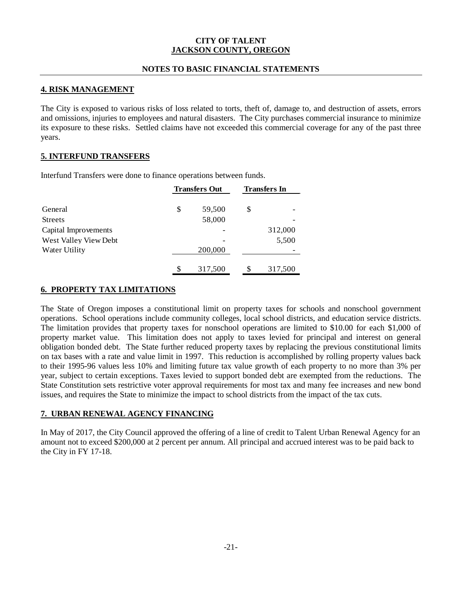#### **NOTES TO BASIC FINANCIAL STATEMENTS**

#### **4. RISK MANAGEMENT**

The City is exposed to various risks of loss related to torts, theft of, damage to, and destruction of assets, errors and omissions, injuries to employees and natural disasters. The City purchases commercial insurance to minimize its exposure to these risks. Settled claims have not exceeded this commercial coverage for any of the past three years.

#### **5. INTERFUND TRANSFERS**

Interfund Transfers were done to finance operations between funds.

|                       | <b>Transfers Out</b> | <b>Transfers In</b> |
|-----------------------|----------------------|---------------------|
| General               | \$<br>59,500         | \$                  |
| <b>Streets</b>        | 58,000               |                     |
| Capital Improvements  |                      | 312,000             |
| West Valley View Debt |                      | 5,500               |
| Water Utility         | 200,000              |                     |
|                       | 317,500              | 317,500             |

#### **6. PROPERTY TAX LIMITATIONS**

The State of Oregon imposes a constitutional limit on property taxes for schools and nonschool government operations. School operations include community colleges, local school districts, and education service districts. The limitation provides that property taxes for nonschool operations are limited to \$10.00 for each \$1,000 of property market value. This limitation does not apply to taxes levied for principal and interest on general obligation bonded debt. The State further reduced property taxes by replacing the previous constitutional limits on tax bases with a rate and value limit in 1997. This reduction is accomplished by rolling property values back to their 1995-96 values less 10% and limiting future tax value growth of each property to no more than 3% per year, subject to certain exceptions. Taxes levied to support bonded debt are exempted from the reductions. The State Constitution sets restrictive voter approval requirements for most tax and many fee increases and new bond issues, and requires the State to minimize the impact to school districts from the impact of the tax cuts.

#### **7. URBAN RENEWAL AGENCY FINANCING**

In May of 2017, the City Council approved the offering of a line of credit to Talent Urban Renewal Agency for an amount not to exceed \$200,000 at 2 percent per annum. All principal and accrued interest was to be paid back to the City in FY 17-18.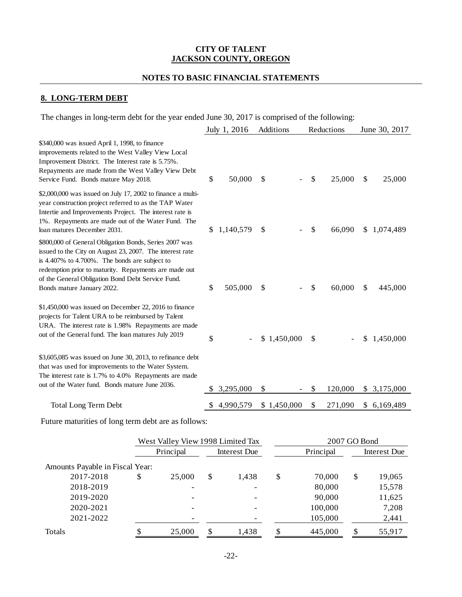#### **NOTES TO BASIC FINANCIAL STATEMENTS**

#### **8. LONG-TERM DEBT**

The changes in long-term debt for the year ended June 30, 2017 is comprised of the following:

|                                                                                                                                                                                                                                                                                                                 |     | July 1, 2016 |     | Additions   |    | Reductions |     | June 30, 2017 |
|-----------------------------------------------------------------------------------------------------------------------------------------------------------------------------------------------------------------------------------------------------------------------------------------------------------------|-----|--------------|-----|-------------|----|------------|-----|---------------|
| \$340,000 was issued April 1, 1998, to finance<br>improvements related to the West Valley View Local<br>Improvement District. The Interest rate is 5.75%.<br>Repayments are made from the West Valley View Debt<br>Service Fund. Bonds mature May 2018.                                                         | \$  | 50,000       | \$  |             | \$ | 25,000     | \$. | 25,000        |
| \$2,000,000 was issued on July 17, 2002 to finance a multi-<br>year construction project referred to as the TAP Water<br>Intertie and Improvements Project. The interest rate is<br>1%. Repayments are made out of the Water Fund. The<br>loan matures December 2031.                                           | \$. | 1,140,579    | \$  |             | \$ | 66,090     |     | \$1,074,489   |
| \$800,000 of General Obligation Bonds, Series 2007 was<br>issued to the City on August 23, 2007. The interest rate<br>is 4.407% to 4.700%. The bonds are subject to<br>redemption prior to maturity. Repayments are made out<br>of the General Obligation Bond Debt Service Fund.<br>Bonds mature January 2022. | \$  | 505,000      | \$. |             | S  | 60,000     | \$. | 445,000       |
| $$1,450,000$ was issued on December 22, 2016 to finance<br>projects for Talent URA to be reimbursed by Talent<br>URA. The interest rate is 1.98% Repayments are made<br>out of the General fund. The loan matures July 2019                                                                                     | \$  |              |     | \$1,450,000 | \$ |            | \$  | 1,450,000     |
| \$3,605,085 was issued on June 30, 2013, to refinance debt<br>that was used for improvements to the Water System.<br>The interest rate is 1.7% to 4.0% Repayments are made<br>out of the Water fund. Bonds mature June 2036.                                                                                    |     | 3,295,000    | \$  |             | \$ | 120,000    |     | \$3,175,000   |
| <b>Total Long Term Debt</b>                                                                                                                                                                                                                                                                                     |     | \$4,990,579  |     | \$1,450,000 | \$ | 271,090    |     | \$6,169,489   |

Future maturities of long term debt are as follows:

|                                 | West Valley View 1998 Limited Tax |           |    |              |    |           | 2007 GO Bond |              |
|---------------------------------|-----------------------------------|-----------|----|--------------|----|-----------|--------------|--------------|
|                                 |                                   | Principal |    | Interest Due |    | Principal |              | Interest Due |
| Amounts Payable in Fiscal Year: |                                   |           |    |              |    |           |              |              |
| 2017-2018                       | \$                                | 25,000    | \$ | 1.438        | \$ | 70,000    | \$           | 19,065       |
| 2018-2019                       |                                   |           |    |              |    | 80,000    |              | 15,578       |
| 2019-2020                       |                                   |           |    |              |    | 90,000    |              | 11,625       |
| 2020-2021                       |                                   |           |    |              |    | 100,000   |              | 7,208        |
| 2021-2022                       |                                   |           |    |              |    | 105,000   |              | 2,441        |
| <b>Totals</b>                   |                                   | 25,000    | \$ | 1,438        |    | 445,000   |              | 55,917       |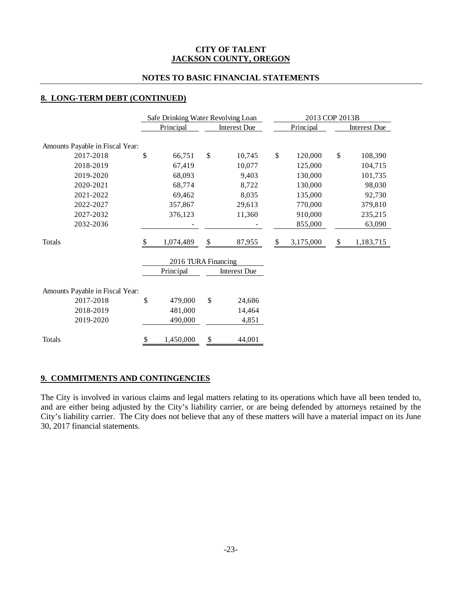#### **NOTES TO BASIC FINANCIAL STATEMENTS**

#### **8. LONG-TERM DEBT (CONTINUED)**

|                                 | Safe Drinking Water Revolving Loan |               |                     | 2013 COP 2013B |           |    |                     |
|---------------------------------|------------------------------------|---------------|---------------------|----------------|-----------|----|---------------------|
|                                 | Principal                          |               | <b>Interest Due</b> |                | Principal |    | <b>Interest Due</b> |
| Amounts Payable in Fiscal Year: |                                    |               |                     |                |           |    |                     |
| 2017-2018                       | \$<br>66,751                       | $\mathcal{S}$ | 10,745              | \$             | 120,000   | \$ | 108,390             |
| 2018-2019                       | 67,419                             |               | 10,077              |                | 125,000   |    | 104,715             |
| 2019-2020                       | 68,093                             |               | 9,403               |                | 130,000   |    | 101,735             |
| 2020-2021                       | 68,774                             |               | 8,722               |                | 130,000   |    | 98,030              |
| 2021-2022                       | 69,462                             |               | 8,035               |                | 135,000   |    | 92,730              |
| 2022-2027                       | 357,867                            |               | 29,613              |                | 770,000   |    | 379,810             |
| 2027-2032                       | 376,123                            |               | 11,360              |                | 910,000   |    | 235,215             |
| 2032-2036                       |                                    |               |                     |                | 855,000   |    | 63,090              |
| Totals                          | 1,074,489                          | \$            | 87,955              | \$             | 3,175,000 | \$ | 1,183,715           |
|                                 | 2016 TURA Financing                |               |                     |                |           |    |                     |
|                                 | Principal                          |               | <b>Interest Due</b> |                |           |    |                     |
| Amounts Payable in Fiscal Year: |                                    |               |                     |                |           |    |                     |
| 2017-2018                       | \$<br>479,000                      | $\mathbb{S}$  | 24,686              |                |           |    |                     |
| 2018-2019                       | 481,000                            |               | 14,464              |                |           |    |                     |
| 2019-2020                       | 490,000                            |               | 4,851               |                |           |    |                     |
| Totals                          | \$<br>1,450,000                    | \$            | 44,001              |                |           |    |                     |

#### **9. COMMITMENTS AND CONTINGENCIES**

The City is involved in various claims and legal matters relating to its operations which have all been tended to, and are either being adjusted by the City's liability carrier, or are being defended by attorneys retained by the City's liability carrier. The City does not believe that any of these matters will have a material impact on its June 30, 2017 financial statements.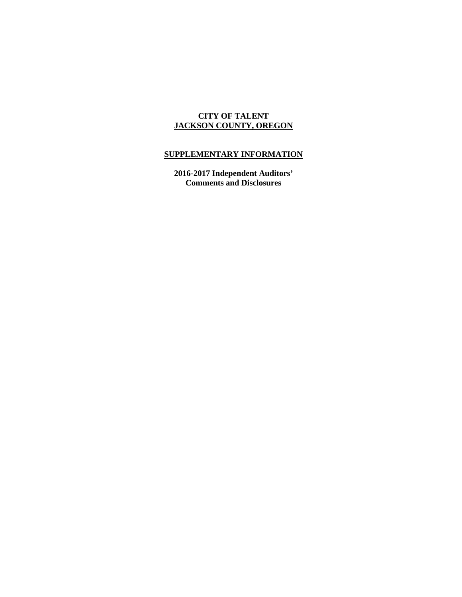# **SUPPLEMENTARY INFORMATION**

**2016-2017 Independent Auditors' Comments and Disclosures**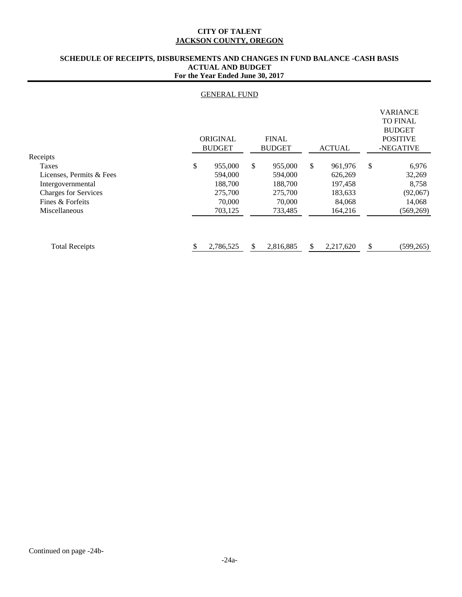#### **SCHEDULE OF RECEIPTS, DISBURSEMENTS AND CHANGES IN FUND BALANCE -CASH BASIS ACTUAL AND BUDGET For the Year Ended June 30, 2017**

#### GENERAL FUND

|                             | <b>ORIGINAL</b><br><b>BUDGET</b> |    | <b>FINAL</b><br><b>BUDGET</b> | <b>ACTUAL</b>   | <b>VARIANCE</b><br><b>TO FINAL</b><br><b>BUDGET</b><br><b>POSITIVE</b><br>-NEGATIVE |
|-----------------------------|----------------------------------|----|-------------------------------|-----------------|-------------------------------------------------------------------------------------|
| Receipts                    |                                  |    |                               |                 |                                                                                     |
| Taxes                       | \$<br>955,000                    | \$ | 955,000                       | \$<br>961,976   | \$<br>6,976                                                                         |
| Licenses, Permits & Fees    | 594,000                          |    | 594,000                       | 626,269         | 32,269                                                                              |
| Intergovernmental           | 188,700                          |    | 188,700                       | 197,458         | 8,758                                                                               |
| <b>Charges for Services</b> | 275,700                          |    | 275,700                       | 183,633         | (92,067)                                                                            |
| Fines & Forfeits            | 70,000                           |    | 70,000                        | 84,068          | 14,068                                                                              |
| Miscellaneous               | 703,125                          |    | 733,485                       | 164,216         | (569,269)                                                                           |
| <b>Total Receipts</b>       | \$<br>2,786,525                  | S  | 2,816,885                     | \$<br>2,217,620 | \$<br>(599, 265)                                                                    |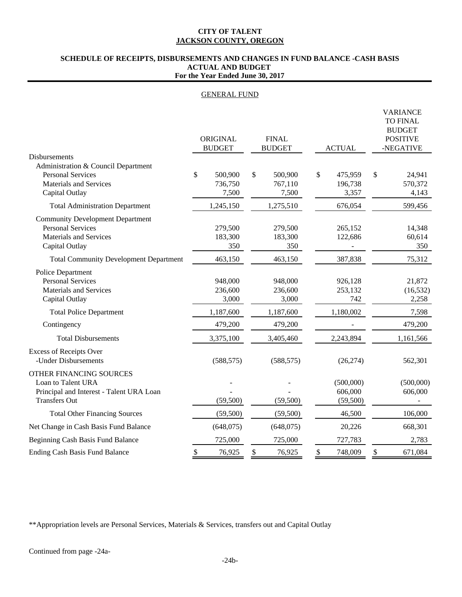#### **SCHEDULE OF RECEIPTS, DISBURSEMENTS AND CHANGES IN FUND BALANCE -CASH BASIS ACTUAL AND BUDGET**  For the Year Ended June 30, 2017

#### GENERAL FUND

|                                                                                                                                     | ORIGINAL<br><b>BUDGET</b>         | <b>FINAL</b><br><b>BUDGET</b>     | <b>ACTUAL</b>                     | <b>VARIANCE</b><br><b>TO FINAL</b><br><b>BUDGET</b><br><b>POSITIVE</b><br>-NEGATIVE |
|-------------------------------------------------------------------------------------------------------------------------------------|-----------------------------------|-----------------------------------|-----------------------------------|-------------------------------------------------------------------------------------|
| Disbursements<br>Administration & Council Department<br><b>Personal Services</b><br><b>Materials and Services</b><br>Capital Outlay | \$<br>500,900<br>736,750<br>7,500 | \$<br>500,900<br>767,110<br>7,500 | \$<br>475,959<br>196,738<br>3,357 | $\mathbb{S}$<br>24,941<br>570,372<br>4,143                                          |
| <b>Total Administration Department</b>                                                                                              | 1,245,150                         | 1,275,510                         | 676,054                           | 599,456                                                                             |
| <b>Community Development Department</b><br><b>Personal Services</b><br>Materials and Services<br>Capital Outlay                     | 279,500<br>183,300<br>350         | 279,500<br>183,300<br>350         | 265,152<br>122,686                | 14,348<br>60,614<br>350                                                             |
| <b>Total Community Development Department</b>                                                                                       | 463,150                           | 463,150                           | 387,838                           | 75,312                                                                              |
| Police Department<br><b>Personal Services</b><br>Materials and Services<br>Capital Outlay                                           | 948,000<br>236,600<br>3,000       | 948,000<br>236,600<br>3,000       | 926,128<br>253,132<br>742         | 21,872<br>(16, 532)<br>2,258                                                        |
| <b>Total Police Department</b>                                                                                                      | 1,187,600                         | 1,187,600                         | 1,180,002                         | 7,598                                                                               |
| Contingency                                                                                                                         | 479,200                           | 479,200                           |                                   | 479,200                                                                             |
| <b>Total Disbursements</b>                                                                                                          | 3,375,100                         | 3,405,460                         | 2,243,894                         | 1,161,566                                                                           |
| <b>Excess of Receipts Over</b><br>-Under Disbursements                                                                              | (588, 575)                        | (588, 575)                        | (26, 274)                         | 562,301                                                                             |
| OTHER FINANCING SOURCES<br>Loan to Talent URA<br>Principal and Interest - Talent URA Loan<br><b>Transfers Out</b>                   | (59, 500)                         | (59, 500)                         | (500,000)<br>606,000<br>(59, 500) | (500,000)<br>606,000                                                                |
| <b>Total Other Financing Sources</b>                                                                                                | (59, 500)                         | (59, 500)                         | 46,500                            | 106,000                                                                             |
| Net Change in Cash Basis Fund Balance                                                                                               | (648,075)                         | (648,075)                         | 20,226                            | 668,301                                                                             |
| Beginning Cash Basis Fund Balance                                                                                                   | 725,000                           | 725,000                           | 727,783                           | 2,783                                                                               |
| <b>Ending Cash Basis Fund Balance</b>                                                                                               | \$<br>76,925                      | \$<br>76,925                      | 748,009<br>\$                     | 671,084<br>\$                                                                       |

\*\*Appropriation levels are Personal Services, Materials & Services, transfers out and Capital Outlay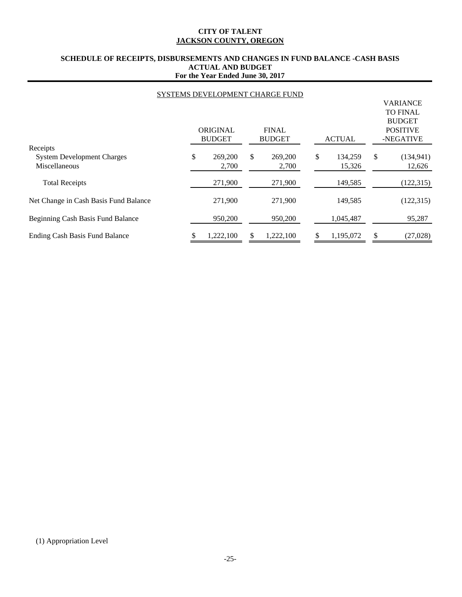#### **SCHEDULE OF RECEIPTS, DISBURSEMENTS AND CHANGES IN FUND BALANCE -CASH BASIS ACTUAL AND BUDGET For the Year Ended June 30, 2017**

#### SYSTEMS DEVELOPMENT CHARGE FUND

|                                       |    | <b>ORIGINAL</b><br><b>BUDGET</b> |    | <b>FINAL</b><br><b>BUDGET</b> |    | <b>ACTUAL</b> | <b>VARIANCE</b><br><b>TO FINAL</b><br><b>BUDGET</b><br><b>POSITIVE</b><br>-NEGATIVE |            |
|---------------------------------------|----|----------------------------------|----|-------------------------------|----|---------------|-------------------------------------------------------------------------------------|------------|
| Receipts                              |    |                                  |    |                               |    |               |                                                                                     |            |
| <b>System Development Charges</b>     | \$ | 269,200                          | \$ | 269,200                       | \$ | 134,259       | \$                                                                                  | (134, 941) |
| Miscellaneous                         |    | 2,700                            |    | 2,700                         |    | 15,326        |                                                                                     | 12,626     |
| <b>Total Receipts</b>                 |    | 271,900                          |    | 271,900                       |    | 149,585       |                                                                                     | (122, 315) |
| Net Change in Cash Basis Fund Balance |    | 271,900                          |    | 271,900                       |    | 149.585       |                                                                                     | (122, 315) |
| Beginning Cash Basis Fund Balance     |    | 950,200                          |    | 950,200                       |    | 1,045,487     |                                                                                     | 95,287     |
| <b>Ending Cash Basis Fund Balance</b> | S  | 1,222,100                        | S  | 1,222,100                     | S  | 1,195,072     | \$                                                                                  | (27, 028)  |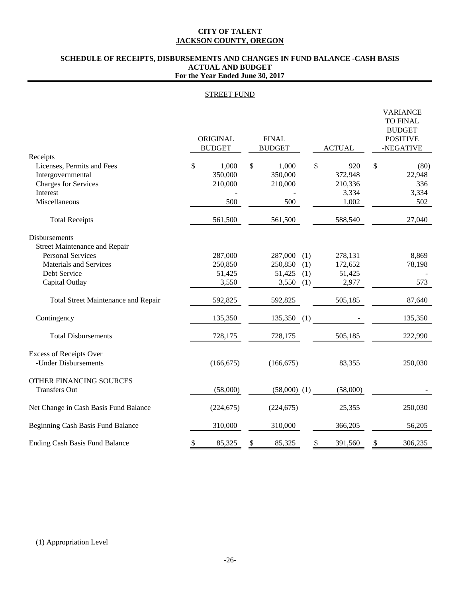#### **SCHEDULE OF RECEIPTS, DISBURSEMENTS AND CHANGES IN FUND BALANCE -CASH BASIS ACTUAL AND BUDGET For the Year Ended June 30, 2017**

#### STREET FUND

|                                                       | ORIGINAL<br><b>BUDGET</b> | <b>FINAL</b><br><b>BUDGET</b> |     | <b>ACTUAL</b> | <b>VARIANCE</b><br><b>TO FINAL</b><br><b>BUDGET</b><br><b>POSITIVE</b><br>-NEGATIVE |
|-------------------------------------------------------|---------------------------|-------------------------------|-----|---------------|-------------------------------------------------------------------------------------|
| Receipts                                              |                           |                               |     |               |                                                                                     |
| Licenses, Permits and Fees                            | \$<br>1,000               | \$<br>1,000                   | \$  | 920           | \$<br>(80)                                                                          |
| Intergovernmental                                     | 350,000                   | 350,000                       |     | 372,948       | 22,948                                                                              |
| <b>Charges for Services</b>                           | 210,000                   | 210,000                       |     | 210,336       | 336                                                                                 |
| Interest                                              |                           |                               |     | 3,334         | 3,334                                                                               |
| Miscellaneous                                         | 500                       | 500                           |     | 1,002         | 502                                                                                 |
| <b>Total Receipts</b>                                 | 561,500                   | 561,500                       |     | 588,540       | 27,040                                                                              |
| Disbursements<br><b>Street Maintenance and Repair</b> |                           |                               |     |               |                                                                                     |
| <b>Personal Services</b>                              | 287,000                   | 287,000                       | (1) | 278,131       | 8,869                                                                               |
| Materials and Services                                | 250,850                   | 250,850                       | (1) | 172,652       | 78,198                                                                              |
| Debt Service                                          | 51,425                    | 51,425                        | (1) | 51,425        |                                                                                     |
| Capital Outlay                                        | 3,550                     | $3,550$ (1)                   |     | 2,977         | 573                                                                                 |
| Total Street Maintenance and Repair                   | 592,825                   | 592,825                       |     | 505,185       | 87,640                                                                              |
| Contingency                                           | 135,350                   | $135,350$ (1)                 |     |               | 135,350                                                                             |
| <b>Total Disbursements</b>                            | 728,175                   | 728,175                       |     | 505,185       | 222,990                                                                             |
| Excess of Receipts Over                               |                           |                               |     |               |                                                                                     |
| -Under Disbursements                                  | (166, 675)                | (166, 675)                    |     | 83,355        | 250,030                                                                             |
| OTHER FINANCING SOURCES                               |                           |                               |     |               |                                                                                     |
| <b>Transfers Out</b>                                  | (58,000)                  | $(58,000)$ (1)                |     | (58,000)      |                                                                                     |
| Net Change in Cash Basis Fund Balance                 | (224, 675)                | (224, 675)                    |     | 25,355        | 250,030                                                                             |
| Beginning Cash Basis Fund Balance                     | 310,000                   | 310,000                       |     | 366,205       | 56,205                                                                              |
| <b>Ending Cash Basis Fund Balance</b>                 | \$<br>85,325              | 85,325<br>\$                  | \$  | 391,560       | \$<br>306,235                                                                       |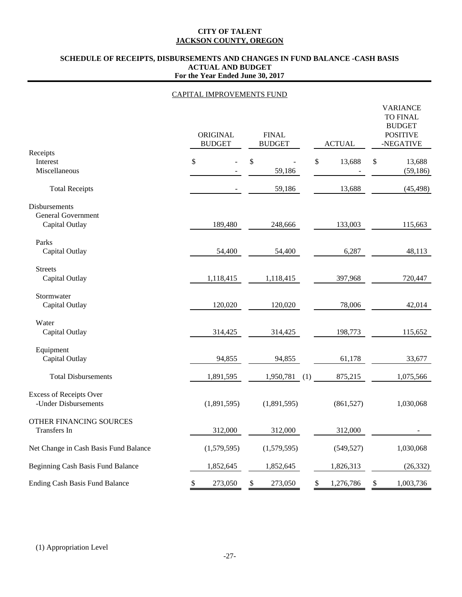#### **SCHEDULE OF RECEIPTS, DISBURSEMENTS AND CHANGES IN FUND BALANCE -CASH BASIS ACTUAL AND BUDGET For the Year Ended June 30, 2017**

#### CAPITAL IMPROVEMENTS FUND

|                                                        | ORIGINAL<br><b>BUDGET</b> | <b>FINAL</b><br><b>BUDGET</b> |     | <b>ACTUAL</b> | <b>VARIANCE</b><br><b>TO FINAL</b><br><b>BUDGET</b><br><b>POSITIVE</b><br>-NEGATIVE |
|--------------------------------------------------------|---------------------------|-------------------------------|-----|---------------|-------------------------------------------------------------------------------------|
| Receipts<br>Interest                                   | \$<br>÷.                  | \$                            | \$  | 13,688        | \$<br>13,688                                                                        |
| Miscellaneous                                          |                           | 59,186                        |     |               | (59, 186)                                                                           |
| <b>Total Receipts</b>                                  |                           | 59,186                        |     | 13,688        | (45, 498)                                                                           |
| Disbursements                                          |                           |                               |     |               |                                                                                     |
| <b>General Government</b><br>Capital Outlay            | 189,480                   | 248,666                       |     | 133,003       | 115,663                                                                             |
| Parks                                                  |                           |                               |     |               |                                                                                     |
| Capital Outlay                                         | 54,400                    | 54,400                        |     | 6,287         | 48,113                                                                              |
| <b>Streets</b><br>Capital Outlay                       | 1,118,415                 | 1,118,415                     |     | 397,968       | 720,447                                                                             |
|                                                        |                           |                               |     |               |                                                                                     |
| Stormwater<br>Capital Outlay                           | 120,020                   | 120,020                       |     | 78,006        | 42,014                                                                              |
| Water<br>Capital Outlay                                | 314,425                   | 314,425                       |     | 198,773       | 115,652                                                                             |
| Equipment<br>Capital Outlay                            | 94,855                    | 94,855                        |     | 61,178        | 33,677                                                                              |
| <b>Total Disbursements</b>                             | 1,891,595                 | 1,950,781                     | (1) | 875,215       | 1,075,566                                                                           |
| <b>Excess of Receipts Over</b><br>-Under Disbursements | (1,891,595)               | (1,891,595)                   |     | (861, 527)    | 1,030,068                                                                           |
| OTHER FINANCING SOURCES<br><b>Transfers</b> In         | 312,000                   | 312,000                       |     | 312,000       |                                                                                     |
| Net Change in Cash Basis Fund Balance                  | (1,579,595)               | (1,579,595)                   |     | (549, 527)    | 1,030,068                                                                           |
| Beginning Cash Basis Fund Balance                      | 1,852,645                 | 1,852,645                     |     | 1,826,313     | (26, 332)                                                                           |
| <b>Ending Cash Basis Fund Balance</b>                  | \$<br>273,050             | 273,050<br>\$                 | \$  | 1,276,786     | \$<br>1,003,736                                                                     |
|                                                        |                           |                               |     |               |                                                                                     |

(1) Appropriation Level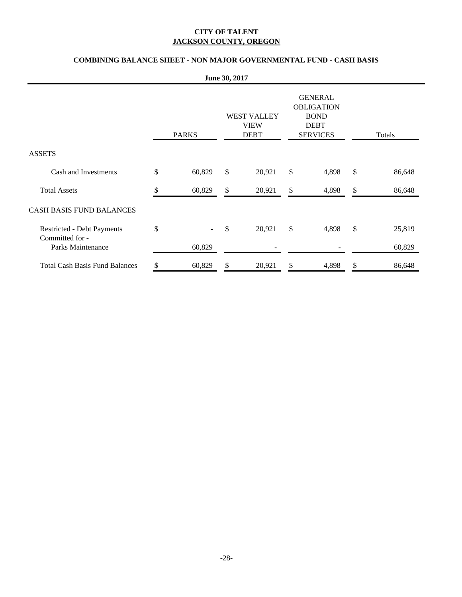# **COMBINING BALANCE SHEET - NON MAJOR GOVERNMENTAL FUND - CASH BASIS**

|                                             |                      | June 30, 2017 |                                                  |               |                                                                                      |              |
|---------------------------------------------|----------------------|---------------|--------------------------------------------------|---------------|--------------------------------------------------------------------------------------|--------------|
|                                             | <b>PARKS</b>         |               | <b>WEST VALLEY</b><br><b>VIEW</b><br><b>DEBT</b> |               | <b>GENERAL</b><br><b>OBLIGATION</b><br><b>BOND</b><br><b>DEBT</b><br><b>SERVICES</b> | Totals       |
| <b>ASSETS</b>                               |                      |               |                                                  |               |                                                                                      |              |
| Cash and Investments                        | \$<br>60,829         | \$            | 20,921                                           | \$            | 4,898                                                                                | \$<br>86,648 |
| <b>Total Assets</b>                         | 60,829               | \$            | 20,921                                           | \$            | 4,898                                                                                | \$<br>86,648 |
| CASH BASIS FUND BALANCES                    |                      |               |                                                  |               |                                                                                      |              |
| <b>Restricted - Debt Payments</b>           | \$<br>$\blacksquare$ | \$            | 20,921                                           | $\mathcal{S}$ | 4,898                                                                                | \$<br>25,819 |
| Committed for -<br><b>Parks Maintenance</b> | 60,829               |               |                                                  |               |                                                                                      | 60,829       |
| <b>Total Cash Basis Fund Balances</b>       | \$<br>60,829         | \$            | 20,921                                           | \$            | 4,898                                                                                | \$<br>86,648 |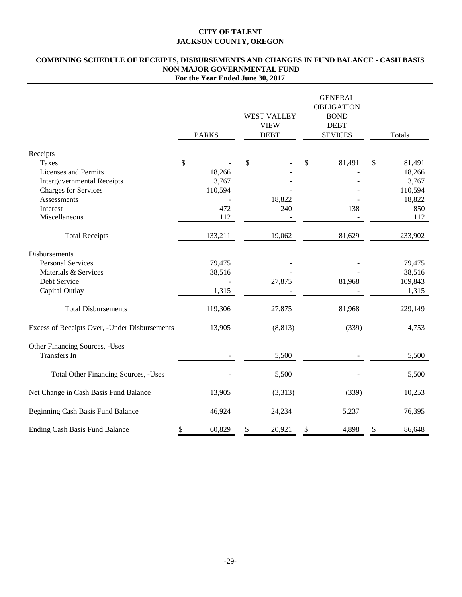#### **COMBINING SCHEDULE OF RECEIPTS, DISBURSEMENTS AND CHANGES IN FUND BALANCE - CASH BASIS NON MAJOR GOVERNMENTAL FUND For the Year Ended June 30, 2017**

|                                               | <b>PARKS</b> | <b>WEST VALLEY</b><br><b>VIEW</b><br><b>DEBT</b> | <b>GENERAL</b><br><b>OBLIGATION</b><br><b>BOND</b><br><b>DEBT</b><br><b>SEVICES</b> | Totals       |
|-----------------------------------------------|--------------|--------------------------------------------------|-------------------------------------------------------------------------------------|--------------|
| Receipts                                      |              |                                                  |                                                                                     |              |
| Taxes                                         | \$           | \$                                               | \$<br>81,491                                                                        | \$<br>81,491 |
| <b>Licenses and Permits</b>                   | 18,266       |                                                  |                                                                                     | 18,266       |
| <b>Intergovernmental Receipts</b>             | 3,767        |                                                  |                                                                                     | 3,767        |
| <b>Charges for Services</b>                   | 110,594      |                                                  |                                                                                     | 110,594      |
| Assessments                                   |              | 18,822                                           |                                                                                     | 18,822       |
| Interest                                      | 472          | 240                                              | 138                                                                                 | 850          |
| Miscellaneous                                 | 112          |                                                  |                                                                                     | 112          |
| <b>Total Receipts</b>                         | 133,211      | 19,062                                           | 81,629                                                                              | 233,902      |
| Disbursements                                 |              |                                                  |                                                                                     |              |
| <b>Personal Services</b>                      | 79,475       |                                                  |                                                                                     | 79,475       |
| Materials & Services                          | 38,516       |                                                  |                                                                                     | 38,516       |
| Debt Service                                  |              | 27,875                                           | 81,968                                                                              | 109,843      |
| Capital Outlay                                | 1,315        |                                                  |                                                                                     | 1,315        |
| <b>Total Disbursements</b>                    | 119,306      | 27,875                                           | 81,968                                                                              | 229,149      |
| Excess of Receipts Over, -Under Disbursements | 13,905       | (8, 813)                                         | (339)                                                                               | 4,753        |
| Other Financing Sources, -Uses                |              |                                                  |                                                                                     |              |
| Transfers In                                  |              | 5,500                                            |                                                                                     | 5,500        |
| Total Other Financing Sources, -Uses          |              | 5,500                                            |                                                                                     | 5,500        |
| Net Change in Cash Basis Fund Balance         | 13,905       | (3,313)                                          | (339)                                                                               | 10,253       |
| Beginning Cash Basis Fund Balance             | 46,924       | 24,234                                           | 5,237                                                                               | 76,395       |
| <b>Ending Cash Basis Fund Balance</b>         | \$<br>60,829 | 20,921<br>\$                                     | 4,898<br>\$                                                                         | 86,648<br>\$ |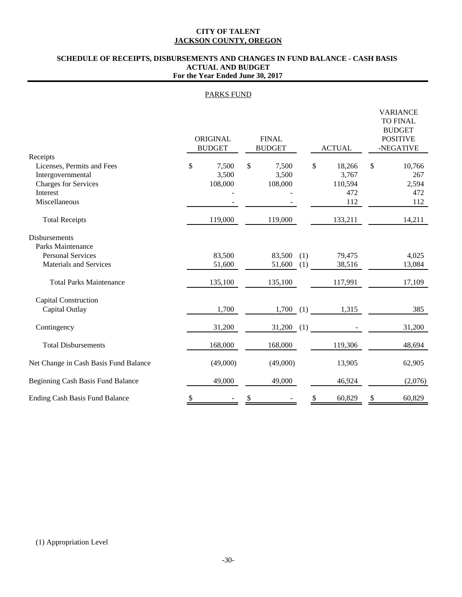#### **SCHEDULE OF RECEIPTS, DISBURSEMENTS AND CHANGES IN FUND BALANCE - CASH BASIS ACTUAL AND BUDGET For the Year Ended June 30, 2017**

#### PARKS FUND

|                                       |                           |    |                               |     |               |         |              | <b>VARIANCE</b><br><b>TO FINAL</b>            |
|---------------------------------------|---------------------------|----|-------------------------------|-----|---------------|---------|--------------|-----------------------------------------------|
|                                       | ORIGINAL<br><b>BUDGET</b> |    | <b>FINAL</b><br><b>BUDGET</b> |     | <b>ACTUAL</b> |         |              | <b>BUDGET</b><br><b>POSITIVE</b><br>-NEGATIVE |
| Receipts                              |                           |    |                               |     |               |         |              |                                               |
| Licenses, Permits and Fees            | \$<br>7,500               | \$ | 7,500                         |     | \$            | 18,266  | $\mathbb{S}$ | 10,766                                        |
| Intergovernmental                     | 3,500                     |    | 3,500                         |     |               | 3,767   |              | 267                                           |
| <b>Charges for Services</b>           | 108,000                   |    | 108,000                       |     |               | 110,594 |              | 2,594                                         |
| Interest                              |                           |    |                               |     |               | 472     |              | 472                                           |
| Miscellaneous                         |                           |    |                               |     |               | 112     |              | 112                                           |
| <b>Total Receipts</b>                 | 119,000                   |    | 119,000                       |     |               | 133,211 |              | 14,211                                        |
| <b>Disbursements</b>                  |                           |    |                               |     |               |         |              |                                               |
| Parks Maintenance                     |                           |    |                               |     |               |         |              |                                               |
| <b>Personal Services</b>              | 83,500                    |    | 83,500                        | (1) |               | 79,475  |              | 4,025                                         |
| Materials and Services                | 51,600                    |    | $51,600$ (1)                  |     |               | 38,516  |              | 13,084                                        |
| <b>Total Parks Maintenance</b>        | 135,100                   |    | 135,100                       |     |               | 117,991 |              | 17,109                                        |
| Capital Construction                  |                           |    |                               |     |               |         |              |                                               |
| Capital Outlay                        | 1,700                     |    | $1,700$ (1)                   |     |               | 1,315   |              | 385                                           |
| Contingency                           | 31,200                    |    | 31,200                        | (1) |               |         |              | 31,200                                        |
| <b>Total Disbursements</b>            | 168,000                   |    | 168,000                       |     |               | 119,306 |              | 48,694                                        |
| Net Change in Cash Basis Fund Balance | (49,000)                  |    | (49,000)                      |     |               | 13,905  |              | 62,905                                        |
| Beginning Cash Basis Fund Balance     | 49,000                    |    | 49,000                        |     |               | 46,924  |              | (2,076)                                       |
| <b>Ending Cash Basis Fund Balance</b> | \$                        | \$ |                               |     | \$            | 60,829  | \$           | 60,829                                        |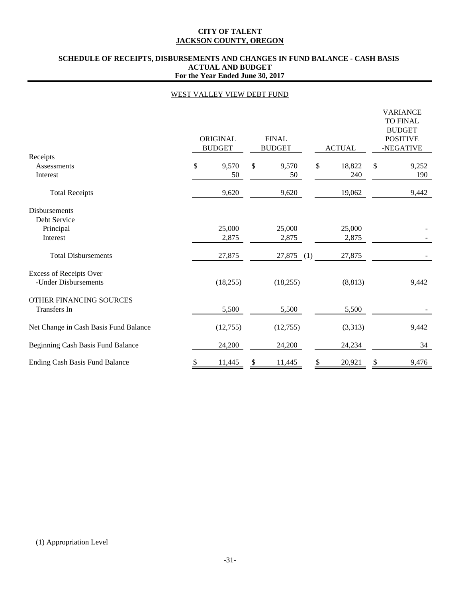#### **SCHEDULE OF RECEIPTS, DISBURSEMENTS AND CHANGES IN FUND BALANCE - CASH BASIS ACTUAL AND BUDGET For the Year Ended June 30, 2017**

# WEST VALLEY VIEW DEBT FUND

|                                       | ORIGINAL<br><b>BUDGET</b> | <b>FINAL</b><br><b>BUDGET</b> |    | <b>ACTUAL</b> | <b>VARIANCE</b><br><b>TO FINAL</b><br><b>BUDGET</b><br><b>POSITIVE</b><br>-NEGATIVE |
|---------------------------------------|---------------------------|-------------------------------|----|---------------|-------------------------------------------------------------------------------------|
| Receipts                              |                           |                               |    |               |                                                                                     |
| Assessments                           | \$<br>9,570               | \$<br>9,570                   | \$ | 18,822        | \$<br>9,252                                                                         |
| Interest                              | 50                        | 50                            |    | 240           | 190                                                                                 |
| <b>Total Receipts</b>                 | 9,620                     | 9,620                         |    | 19,062        | 9,442                                                                               |
| <b>Disbursements</b><br>Debt Service  |                           |                               |    |               |                                                                                     |
| Principal                             | 25,000                    | 25,000                        |    | 25,000        |                                                                                     |
| Interest                              | 2,875                     | 2,875                         |    | 2,875         |                                                                                     |
|                                       |                           |                               |    |               |                                                                                     |
| <b>Total Disbursements</b>            | 27,875                    | 27,875 (1)                    |    | 27,875        |                                                                                     |
| <b>Excess of Receipts Over</b>        |                           |                               |    |               |                                                                                     |
| -Under Disbursements                  | (18,255)                  | (18,255)                      |    | (8, 813)      | 9,442                                                                               |
| OTHER FINANCING SOURCES               |                           |                               |    |               |                                                                                     |
| Transfers In                          | 5,500                     | 5,500                         |    | 5,500         |                                                                                     |
| Net Change in Cash Basis Fund Balance | (12,755)                  | (12,755)                      |    | (3,313)       | 9,442                                                                               |
| Beginning Cash Basis Fund Balance     | 24,200                    | 24,200                        |    | 24,234        | 34                                                                                  |
| <b>Ending Cash Basis Fund Balance</b> | \$<br>11,445              | \$<br>11,445                  | \$ | 20,921        | \$<br>9,476                                                                         |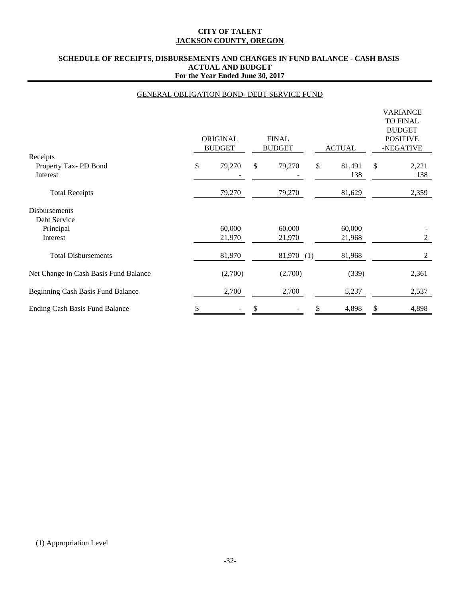#### **SCHEDULE OF RECEIPTS, DISBURSEMENTS AND CHANGES IN FUND BALANCE - CASH BASIS ACTUAL AND BUDGET For the Year Ended June 30, 2017**

#### GENERAL OBLIGATION BOND- DEBT SERVICE FUND

|                                       | ORIGINAL<br><b>BUDGET</b> | <b>FINAL</b><br><b>BUDGET</b> | <b>ACTUAL</b>       | <b>VARIANCE</b><br><b>TO FINAL</b><br><b>BUDGET</b><br><b>POSITIVE</b><br>-NEGATIVE |
|---------------------------------------|---------------------------|-------------------------------|---------------------|-------------------------------------------------------------------------------------|
| Receipts                              |                           |                               |                     |                                                                                     |
| Property Tax-PD Bond<br>Interest      | \$<br>79,270              | \$<br>79,270                  | \$<br>81,491<br>138 | \$<br>2,221<br>138                                                                  |
| <b>Total Receipts</b>                 | 79,270                    | 79,270                        | 81,629              | 2,359                                                                               |
| <b>Disbursements</b>                  |                           |                               |                     |                                                                                     |
| Debt Service                          |                           |                               |                     |                                                                                     |
| Principal                             | 60,000                    | 60,000                        | 60,000              |                                                                                     |
| Interest                              | 21,970                    | 21,970                        | 21,968              | 2                                                                                   |
| <b>Total Disbursements</b>            | 81,970                    | 81,970 (1)                    | 81,968              | 2                                                                                   |
| Net Change in Cash Basis Fund Balance | (2,700)                   | (2,700)                       | (339)               | 2,361                                                                               |
| Beginning Cash Basis Fund Balance     | 2,700                     | 2,700                         | 5,237               | 2,537                                                                               |
| <b>Ending Cash Basis Fund Balance</b> | \$                        | \$                            | \$<br>4,898         | \$<br>4,898                                                                         |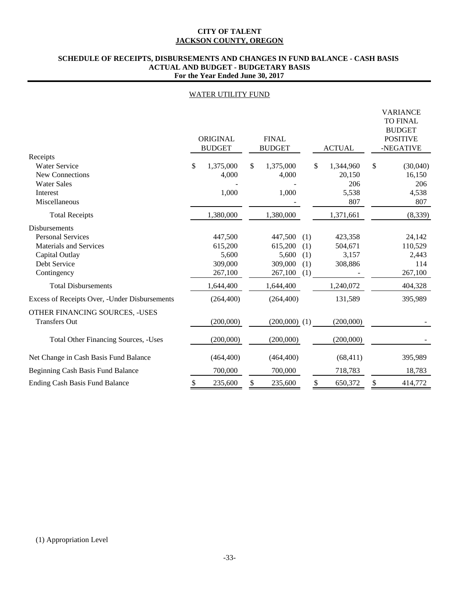#### **SCHEDULE OF RECEIPTS, DISBURSEMENTS AND CHANGES IN FUND BALANCE - CASH BASIS ACTUAL AND BUDGET - BUDGETARY BASIS For the Year Ended June 30, 2017**

#### WATER UTILITY FUND

|                                                        | ORIGINAL<br><b>BUDGET</b> | <b>FINAL</b><br><b>BUDGET</b> |     | <b>ACTUAL</b> | <b>VARIANCE</b><br><b>TO FINAL</b><br><b>BUDGET</b><br><b>POSITIVE</b><br>-NEGATIVE |
|--------------------------------------------------------|---------------------------|-------------------------------|-----|---------------|-------------------------------------------------------------------------------------|
| Receipts                                               |                           |                               |     |               |                                                                                     |
| <b>Water Service</b><br>New Connections                | 1,375,000<br>\$<br>4,000  | 1,375,000<br>\$<br>4,000      | \$  | 1,344,960     | \$<br>(30,040)<br>16,150                                                            |
| <b>Water Sales</b>                                     |                           |                               |     | 20,150<br>206 | 206                                                                                 |
| Interest                                               | 1,000                     | 1,000                         |     | 5,538         | 4,538                                                                               |
| Miscellaneous                                          |                           |                               |     | 807           | 807                                                                                 |
| <b>Total Receipts</b>                                  | 1,380,000                 | 1,380,000                     |     | 1,371,661     | (8, 339)                                                                            |
| <b>Disbursements</b>                                   |                           |                               |     |               |                                                                                     |
| <b>Personal Services</b>                               | 447,500                   | 447,500                       | (1) | 423,358       | 24,142                                                                              |
| <b>Materials and Services</b>                          | 615,200                   | 615,200                       | (1) | 504,671       | 110,529                                                                             |
| Capital Outlay                                         | 5,600                     | 5,600                         | (1) | 3,157         | 2,443                                                                               |
| Debt Service                                           | 309,000                   | 309,000                       | (1) | 308,886       | 114                                                                                 |
| Contingency                                            | 267,100                   | 267,100                       | (1) |               | 267,100                                                                             |
| <b>Total Disbursements</b>                             | 1,644,400                 | 1,644,400                     |     | 1,240,072     | 404,328                                                                             |
| Excess of Receipts Over, -Under Disbursements          | (264, 400)                | (264, 400)                    |     | 131,589       | 395,989                                                                             |
| OTHER FINANCING SOURCES, -USES<br><b>Transfers Out</b> | (200,000)                 | $(200,000)$ $(1)$             |     | (200,000)     |                                                                                     |
| Total Other Financing Sources, -Uses                   | (200,000)                 | (200,000)                     |     | (200,000)     |                                                                                     |
| Net Change in Cash Basis Fund Balance                  | (464, 400)                | (464, 400)                    |     | (68, 411)     | 395,989                                                                             |
| Beginning Cash Basis Fund Balance                      | 700,000                   | 700,000                       |     | 718,783       | 18,783                                                                              |
| <b>Ending Cash Basis Fund Balance</b>                  | \$<br>235,600             | \$<br>235,600                 | \$  | 650,372       | \$<br>414,772                                                                       |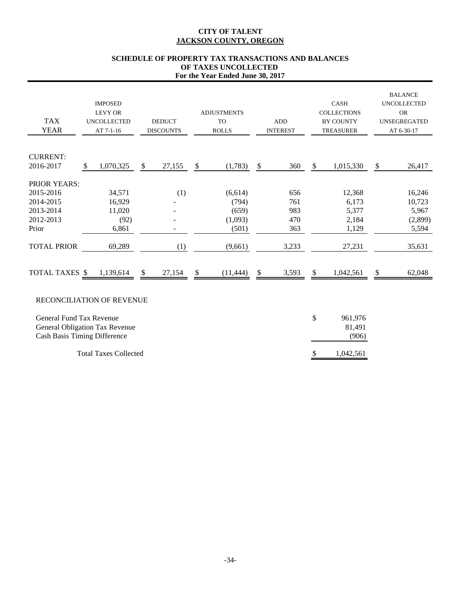#### **SCHEDULE OF PROPERTY TAX TRANSACTIONS AND BALANCES OF TAXES UNCOLLECTED For the Year Ended June 30, 2017**

| <b>TAX</b><br><b>YEAR</b>                                                                                |              | <b>IMPOSED</b><br><b>LEVY OR</b><br><b>UNCOLLECTED</b><br>AT 7-1-16 | <b>DEDUCT</b><br><b>DISCOUNTS</b> |            | <b>ADJUSTMENTS</b><br><b>TO</b><br><b>ROLLS</b>          | <b>ADD</b><br><b>INTEREST</b>            | <b>CASH</b><br><b>COLLECTIONS</b><br><b>BY COUNTY</b><br><b>TREASURER</b> | <b>BALANCE</b><br><b>UNCOLLECTED</b><br><b>OR</b><br><b>UNSEGREGATED</b><br>AT 6-30-17 |
|----------------------------------------------------------------------------------------------------------|--------------|---------------------------------------------------------------------|-----------------------------------|------------|----------------------------------------------------------|------------------------------------------|---------------------------------------------------------------------------|----------------------------------------------------------------------------------------|
| <b>CURRENT:</b>                                                                                          |              |                                                                     |                                   |            |                                                          |                                          |                                                                           |                                                                                        |
| 2016-2017                                                                                                | $\mathbb{S}$ | 1,070,325                                                           | \$<br>27,155                      | \$         | (1,783)                                                  | \$<br>360                                | \$<br>1,015,330                                                           | \$<br>26,417                                                                           |
| <b>PRIOR YEARS:</b><br>2015-2016<br>2014-2015<br>2013-2014<br>2012-2013<br>Prior<br><b>TOTAL PRIOR</b>   |              | 34,571<br>16,929<br>11,020<br>(92)<br>6,861<br>69,289               | (1)<br>(1)                        |            | (6,614)<br>(794)<br>(659)<br>(1,093)<br>(501)<br>(9,661) | 656<br>761<br>983<br>470<br>363<br>3,233 | 12,368<br>6,173<br>5,377<br>2,184<br>1,129<br>27,231                      | 16,246<br>10,723<br>5,967<br>(2,899)<br>5,594<br>35,631                                |
|                                                                                                          |              |                                                                     |                                   |            |                                                          |                                          |                                                                           |                                                                                        |
| <b>TOTAL TAXES \$</b>                                                                                    |              | 1,139,614                                                           | \$<br>27,154                      | $\sqrt{3}$ | (11, 444)                                                | \$<br>3,593                              | \$<br>1,042,561                                                           | \$<br>62,048                                                                           |
| RECONCILIATION OF REVENUE                                                                                |              |                                                                     |                                   |            |                                                          |                                          |                                                                           |                                                                                        |
| <b>General Fund Tax Revenue</b><br><b>General Obligation Tax Revenue</b><br>Cash Basis Timing Difference |              |                                                                     |                                   |            |                                                          |                                          | \$<br>961,976<br>81,491<br>(906)                                          |                                                                                        |
|                                                                                                          |              | <b>Total Taxes Collected</b>                                        |                                   |            |                                                          |                                          | \$<br>1,042,561                                                           |                                                                                        |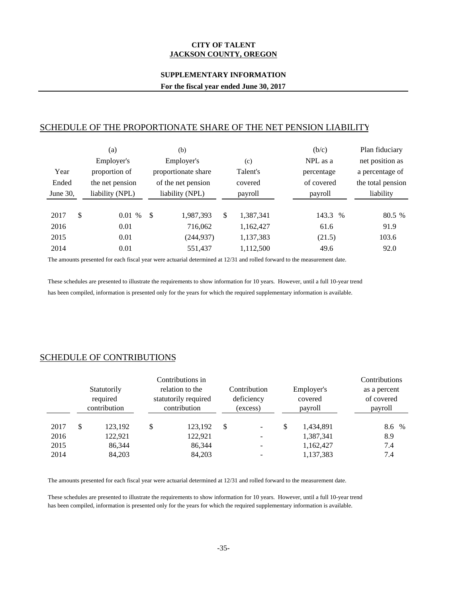### **SUPPLEMENTARY INFORMATION For the fiscal year ended June 30, 2017**

#### SCHEDULE OF THE PROPORTIONATE SHARE OF THE NET PENSION LIABILITY

|          | (a)             |               | (b)                 |              |           | (b/c)      | Plan fiduciary    |
|----------|-----------------|---------------|---------------------|--------------|-----------|------------|-------------------|
|          | Employer's      |               | Employer's          |              | (c)       | NPL as a   | net position as   |
| Year     | proportion of   |               | proportionate share |              | Talent's  | percentage | a percentage of   |
| Ended    | the net pension |               | of the net pension  |              | covered   | of covered | the total pension |
| June 30, | liability (NPL) |               | liability (NPL)     |              | payroll   | payroll    | liability         |
|          |                 |               |                     |              |           |            |                   |
| 2017     | \$<br>$0.01\%$  | <sup>\$</sup> | 1,987,393           | $\mathbb{S}$ | 1,387,341 | 143.3 %    | 80.5 %            |
| 2016     | 0.01            |               | 716,062             |              | 1,162,427 | 61.6       | 91.9              |
| 2015     | 0.01            |               | (244, 937)          |              | 1,137,383 | (21.5)     | 103.6             |
| 2014     | 0.01            |               | 551,437             |              | 1,112,500 | 49.6       | 92.0              |

The amounts presented for each fiscal year were actuarial determined at 12/31 and rolled forward to the measurement date.

These schedules are presented to illustrate the requirements to show information for 10 years. However, until a full 10-year trend has been compiled, information is presented only for the years for which the required supplementary information is available.

#### SCHEDULE OF CONTRIBUTIONS

|      | Statutorily<br>required<br>contribution | Contributions in<br>relation to the<br>statutorily required<br>contribution |   | Contribution<br>deficiency<br>(excess) | Employer's<br>covered<br>payroll | Contributions<br>as a percent<br>of covered<br>payroll |
|------|-----------------------------------------|-----------------------------------------------------------------------------|---|----------------------------------------|----------------------------------|--------------------------------------------------------|
| 2017 | \$<br>123.192                           | \$<br>123,192                                                               | S | $\overline{\phantom{a}}$               | \$<br>1,434,891                  | 8.6 %                                                  |
| 2016 | 122,921                                 | 122,921                                                                     |   | $\overline{\phantom{a}}$               | 1,387,341                        | 8.9                                                    |
| 2015 | 86,344                                  | 86,344                                                                      |   | $\overline{\phantom{0}}$               | 1,162,427                        | 7.4                                                    |
| 2014 | 84,203                                  | 84,203                                                                      |   | $\overline{\phantom{0}}$               | 1,137,383                        | 7.4                                                    |

The amounts presented for each fiscal year were actuarial determined at 12/31 and rolled forward to the measurement date.

These schedules are presented to illustrate the requirements to show information for 10 years. However, until a full 10-year trend has been compiled, information is presented only for the years for which the required supplementary information is available.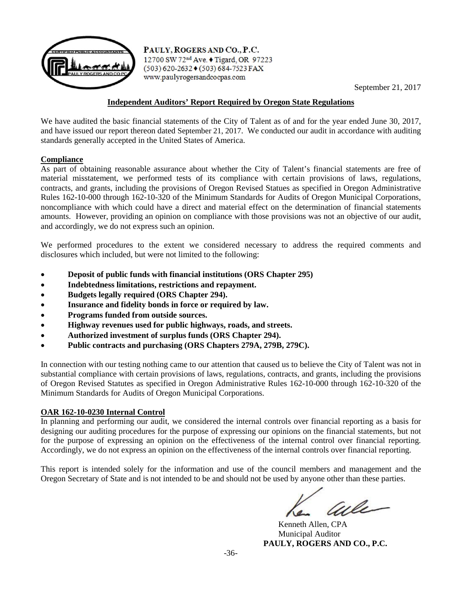

PAULY, ROGERS AND CO., P.C. 12700 SW 72<sup>nd</sup> Ave. + Tigard, OR 97223 (503) 620-2632 ♦ (503) 684-7523 FAX www.paulyrogersandcocpas.com

September 21, 2017

#### **Independent Auditors' Report Required by Oregon State Regulations**

We have audited the basic financial statements of the City of Talent as of and for the year ended June 30, 2017, and have issued our report thereon dated September 21, 2017. We conducted our audit in accordance with auditing standards generally accepted in the United States of America.

#### **Compliance**

As part of obtaining reasonable assurance about whether the City of Talent's financial statements are free of material misstatement, we performed tests of its compliance with certain provisions of laws, regulations, contracts, and grants, including the provisions of Oregon Revised Statues as specified in Oregon Administrative Rules 162-10-000 through 162-10-320 of the Minimum Standards for Audits of Oregon Municipal Corporations, noncompliance with which could have a direct and material effect on the determination of financial statements amounts. However, providing an opinion on compliance with those provisions was not an objective of our audit, and accordingly, we do not express such an opinion.

We performed procedures to the extent we considered necessary to address the required comments and disclosures which included, but were not limited to the following:

- **Deposit of public funds with financial institutions (ORS Chapter 295)**
- **Indebtedness limitations, restrictions and repayment.**
- **Budgets legally required (ORS Chapter 294).**
- **Insurance and fidelity bonds in force or required by law.**
- **Programs funded from outside sources.**
- **Highway revenues used for public highways, roads, and streets.**
- **Authorized investment of surplus funds (ORS Chapter 294).**
- **Public contracts and purchasing (ORS Chapters 279A, 279B, 279C).**

In connection with our testing nothing came to our attention that caused us to believe the City of Talent was not in substantial compliance with certain provisions of laws, regulations, contracts, and grants, including the provisions of Oregon Revised Statutes as specified in Oregon Administrative Rules 162-10-000 through 162-10-320 of the Minimum Standards for Audits of Oregon Municipal Corporations.

#### **OAR 162-10-0230 Internal Control**

In planning and performing our audit, we considered the internal controls over financial reporting as a basis for designing our auditing procedures for the purpose of expressing our opinions on the financial statements, but not for the purpose of expressing an opinion on the effectiveness of the internal control over financial reporting. Accordingly, we do not express an opinion on the effectiveness of the internal controls over financial reporting.

This report is intended solely for the information and use of the council members and management and the Oregon Secretary of State and is not intended to be and should not be used by anyone other than these parties.

nd,

Kenneth Allen, CPA Municipal Auditor **PAULY, ROGERS AND CO., P.C.**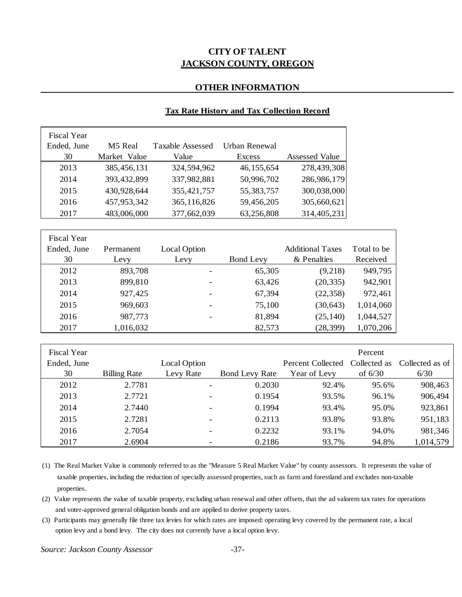## **OTHER INFORMATION**

#### **Tax Rate History and Tax Collection Record**

| <b>Fiscal Year</b> |              |                         |               |                       |
|--------------------|--------------|-------------------------|---------------|-----------------------|
| Ended, June        | M5 Real      | <b>Taxable Assessed</b> | Urban Renewal |                       |
| 30                 | Market Value | Value                   | Excess        | <b>Assessed Value</b> |
| 2013               | 385,456,131  | 324,594,962             | 46,155,654    | 278,439,308           |
| 2014               | 393,432,899  | 337,982,881             | 50,996,702    | 286,986,179           |
| 2015               | 430,928,644  | 355, 421, 757           | 55,383,757    | 300,038,000           |
| 2016               | 457,953,342  | 365,116,826             | 59,456,205    | 305,660,621           |
| 2017               | 483,006,000  | 377,662,039             | 63,256,808    | 314,405,231           |

| <b>Fiscal Year</b> |           |                     |                  |                         |             |
|--------------------|-----------|---------------------|------------------|-------------------------|-------------|
| Ended, June        | Permanent | <b>Local Option</b> |                  | <b>Additional Taxes</b> | Total to be |
| 30                 | Levy      | Levy                | <b>Bond Levy</b> | & Penalties             | Received    |
| 2012               | 893,708   |                     | 65,305           | (9,218)                 | 949,795     |
| 2013               | 899,810   |                     | 63,426           | (20, 335)               | 942,901     |
| 2014               | 927,425   |                     | 67,394           | (22, 358)               | 972,461     |
| 2015               | 969,603   |                     | 75,100           | (30, 643)               | 1,014,060   |
| 2016               | 987,773   |                     | 81,894           | (25, 140)               | 1,044,527   |
| 2017               | 1,016,032 |                     | 82,573           | (28, 399)               | 1,070,206   |

| <b>Fiscal Year</b> |                     |                          |                       |                   | Percent      |                   |
|--------------------|---------------------|--------------------------|-----------------------|-------------------|--------------|-------------------|
| Ended, June        |                     | Local Option             |                       | Percent Collected | Collected as | Collected as of I |
| 30                 | <b>Billing Rate</b> | Levy Rate                | <b>Bond Levy Rate</b> | Year of Levy      | of $6/30$    | 6/30              |
| 2012               | 2.7781              |                          | 0.2030                | 92.4%             | 95.6%        | 908,463           |
| 2013               | 2.7721              |                          | 0.1954                | 93.5%             | 96.1%        | 906,494           |
| 2014               | 2.7440              | $\overline{\phantom{0}}$ | 0.1994                | 93.4%             | 95.0%        | 923,861           |
| 2015               | 2.7281              |                          | 0.2113                | 93.8%             | 93.8%        | 951,183           |
| 2016               | 2.7054              |                          | 0.2232                | 93.1%             | 94.0%        | 981,346           |
| 2017               | 2.6904              |                          | 0.2186                | 93.7%             | 94.8%        | 1,014,579         |

(1) The Real Market Value is commonly referred to as the "Measure 5 Real Market Value" by county assessors. It represents the value of taxable properties, including the reduction of specially assessed properties, such as farm and forestland and excludes non-taxable properties.

(2) Value represents the value of taxable property, excluding urban renewal and other offsets, that the ad valorem tax rates for operations and voter-approved general obligation bonds and are applied to derive property taxes.

(3) Participants may generally file three tax levies for which rates are imposed: operating levy covered by the permanent rate, a local option levy and a bond levy. The city does not currently have a local option levy.